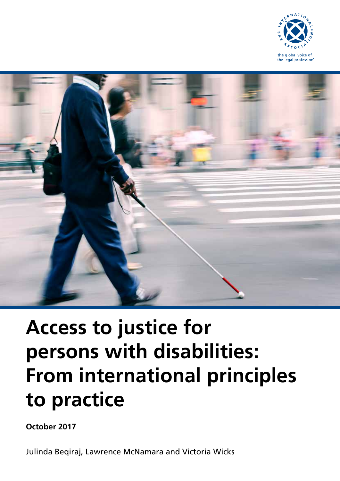



# **Access to justice for persons with disabilities: From international principles to practice**

**October 2017**

Julinda Beqiraj, Lawrence McNamara and Victoria Wicks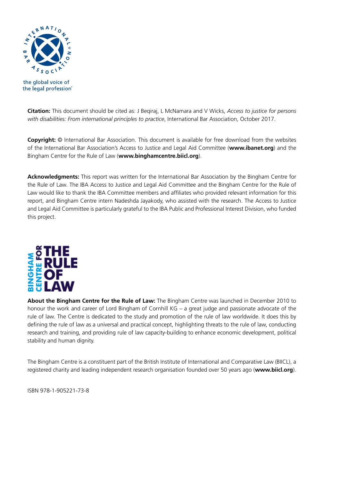

the global voice of the legal profession®

**Citation:** This document should be cited as: J Beqiraj, L McNamara and V Wicks, *Access to justice for persons with disabilities: From international principles to practice*, International Bar Association, October 2017.

**Copyright:** © International Bar Association. This document is available for free download from the websites of the International Bar Association's Access to Justice and Legal Aid Committee (**www.ibanet.org**) and the Bingham Centre for the Rule of Law (**www.binghamcentre.biicl.org**).

**Acknowledgments:** This report was written for the International Bar Association by the Bingham Centre for the Rule of Law. The IBA Access to Justice and Legal Aid Committee and the Bingham Centre for the Rule of Law would like to thank the IBA Committee members and affiliates who provided relevant information for this report, and Bingham Centre intern Nadeshda Jayakody, who assisted with the research. The Access to Justice and Legal Aid Committee is particularly grateful to the IBA Public and Professional Interest Division, who funded this project.



**About the Bingham Centre for the Rule of Law:** The Bingham Centre was launched in December 2010 to honour the work and career of Lord Bingham of Cornhill KG – a great judge and passionate advocate of the rule of law. The Centre is dedicated to the study and promotion of the rule of law worldwide. It does this by defining the rule of law as a universal and practical concept, highlighting threats to the rule of law, conducting research and training, and providing rule of law capacity-building to enhance economic development, political stability and human dignity.

The Bingham Centre is a constituent part of the British Institute of International and Comparative Law (BIICL), a registered charity and leading independent research organisation founded over 50 years ago (**www.biicl.org**).

ISBN 978-1-905221-73-8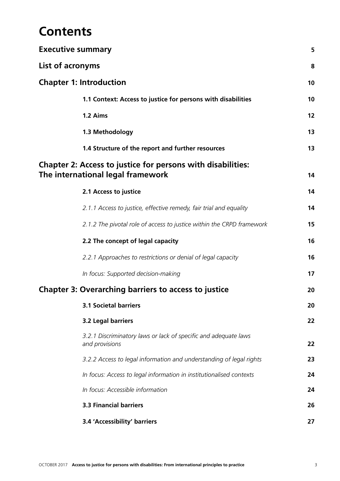## **Contents**

| <b>Executive summary</b>                                                                         | 5  |
|--------------------------------------------------------------------------------------------------|----|
| List of acronyms                                                                                 | 8  |
| <b>Chapter 1: Introduction</b>                                                                   | 10 |
| 1.1 Context: Access to justice for persons with disabilities                                     | 10 |
| 1.2 Aims                                                                                         | 12 |
| 1.3 Methodology                                                                                  | 13 |
| 1.4 Structure of the report and further resources                                                | 13 |
| Chapter 2: Access to justice for persons with disabilities:<br>The international legal framework | 14 |
| 2.1 Access to justice                                                                            | 14 |
| 2.1.1 Access to justice, effective remedy, fair trial and equality                               | 14 |
| 2.1.2 The pivotal role of access to justice within the CRPD framework                            | 15 |
| 2.2 The concept of legal capacity                                                                | 16 |
| 2.2.1 Approaches to restrictions or denial of legal capacity                                     | 16 |
| In focus: Supported decision-making                                                              | 17 |
| <b>Chapter 3: Overarching barriers to access to justice</b>                                      | 20 |
| <b>3.1 Societal barriers</b>                                                                     | 20 |
| 3.2 Legal barriers                                                                               | 22 |
| 3.2.1 Discriminatory laws or lack of specific and adequate laws<br>and provisions                | 22 |
| 3.2.2 Access to legal information and understanding of legal rights                              | 23 |
| In focus: Access to legal information in institutionalised contexts                              | 24 |
| In focus: Accessible information                                                                 | 24 |
| <b>3.3 Financial barriers</b>                                                                    | 26 |
| 3.4 'Accessibility' barriers                                                                     | 27 |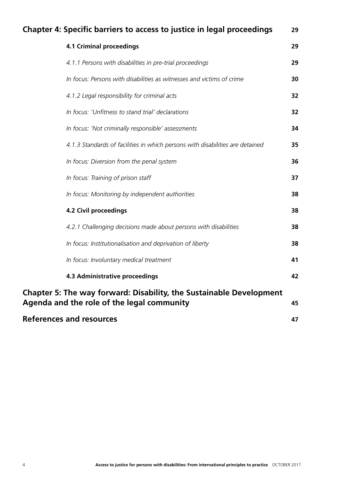| <b>Chapter 4: Specific barriers to access to justice in legal proceedings</b><br>29                                      |    |  |
|--------------------------------------------------------------------------------------------------------------------------|----|--|
| <b>4.1 Criminal proceedings</b>                                                                                          | 29 |  |
| 4.1.1 Persons with disabilities in pre-trial proceedings                                                                 | 29 |  |
| In focus: Persons with disabilities as witnesses and victims of crime                                                    | 30 |  |
| 4.1.2 Legal responsibility for criminal acts                                                                             | 32 |  |
| In focus: 'Unfitness to stand trial' declarations                                                                        | 32 |  |
| In focus: 'Not criminally responsible' assessments                                                                       | 34 |  |
| 4.1.3 Standards of facilities in which persons with disabilities are detained                                            | 35 |  |
| In focus: Diversion from the penal system                                                                                | 36 |  |
| In focus: Training of prison staff                                                                                       | 37 |  |
| In focus: Monitoring by independent authorities                                                                          | 38 |  |
| <b>4.2 Civil proceedings</b>                                                                                             | 38 |  |
| 4.2.1 Challenging decisions made about persons with disabilities                                                         | 38 |  |
| In focus: Institutionalisation and deprivation of liberty                                                                | 38 |  |
| In focus: Involuntary medical treatment                                                                                  | 41 |  |
| <b>4.3 Administrative proceedings</b>                                                                                    | 42 |  |
| <b>Chapter 5: The way forward: Disability, the Sustainable Development</b><br>Agenda and the role of the legal community |    |  |
| <b>References and resources</b>                                                                                          |    |  |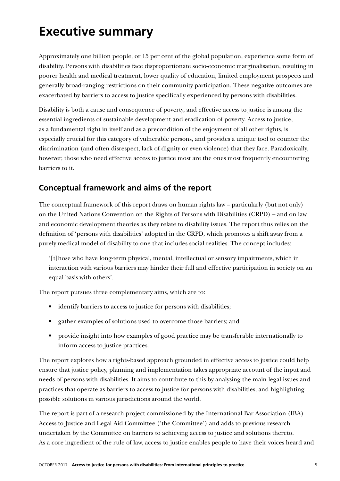## **Executive summary**

Approximately one billion people, or 15 per cent of the global population, experience some form of disability. Persons with disabilities face disproportionate socio-economic marginalisation, resulting in poorer health and medical treatment, lower quality of education, limited employment prospects and generally broad-ranging restrictions on their community participation. These negative outcomes are exacerbated by barriers to access to justice specifically experienced by persons with disabilities.

Disability is both a cause and consequence of poverty, and effective access to justice is among the essential ingredients of sustainable development and eradication of poverty. Access to justice, as a fundamental right in itself and as a precondition of the enjoyment of all other rights, is especially crucial for this category of vulnerable persons, and provides a unique tool to counter the discrimination (and often disrespect, lack of dignity or even violence) that they face. Paradoxically, however, those who need effective access to justice most are the ones most frequently encountering barriers to it.

### **Conceptual framework and aims of the report**

The conceptual framework of this report draws on human rights law – particularly (but not only) on the United Nations Convention on the Rights of Persons with Disabilities (CRPD) – and on law and economic development theories as they relate to disability issues. The report thus relies on the definition of 'persons with disabilities' adopted in the CRPD, which promotes a shift away from a purely medical model of disability to one that includes social realities. The concept includes:

'[t]hose who have long-term physical, mental, intellectual or sensory impairments, which in interaction with various barriers may hinder their full and effective participation in society on an equal basis with others'.

The report pursues three complementary aims, which are to:

- identify barriers to access to justice for persons with disabilities;
- gather examples of solutions used to overcome those barriers; and
- provide insight into how examples of good practice may be transferable internationally to inform access to justice practices.

The report explores how a rights-based approach grounded in effective access to justice could help ensure that justice policy, planning and implementation takes appropriate account of the input and needs of persons with disabilities. It aims to contribute to this by analysing the main legal issues and practices that operate as barriers to access to justice for persons with disabilities, and highlighting possible solutions in various jurisdictions around the world.

The report is part of a research project commissioned by the International Bar Association (IBA) Access to Justice and Legal Aid Committee ('the Committee') and adds to previous research undertaken by the Committee on barriers to achieving access to justice and solutions thereto. As a core ingredient of the rule of law, access to justice enables people to have their voices heard and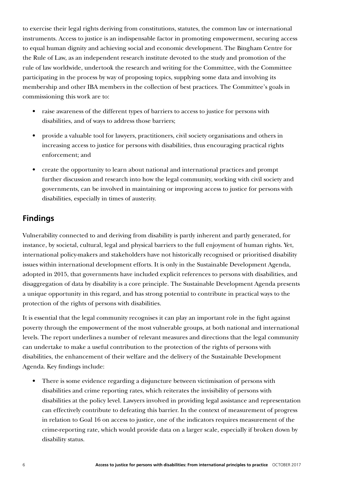to exercise their legal rights deriving from constitutions, statutes, the common law or international instruments. Access to justice is an indispensable factor in promoting empowerment, securing access to equal human dignity and achieving social and economic development. The Bingham Centre for the Rule of Law, as an independent research institute devoted to the study and promotion of the rule of law worldwide, undertook the research and writing for the Committee, with the Committee participating in the process by way of proposing topics, supplying some data and involving its membership and other IBA members in the collection of best practices. The Committee's goals in commissioning this work are to:

- raise awareness of the different types of barriers to access to justice for persons with disabilities, and of ways to address those barriers;
- provide a valuable tool for lawyers, practitioners, civil society organisations and others in increasing access to justice for persons with disabilities, thus encouraging practical rights enforcement; and
- create the opportunity to learn about national and international practices and prompt further discussion and research into how the legal community, working with civil society and governments, can be involved in maintaining or improving access to justice for persons with disabilities, especially in times of austerity.

## **Findings**

Vulnerability connected to and deriving from disability is partly inherent and partly generated, for instance, by societal, cultural, legal and physical barriers to the full enjoyment of human rights. Yet, international policy-makers and stakeholders have not historically recognised or prioritised disability issues within international development efforts. It is only in the Sustainable Development Agenda, adopted in 2015, that governments have included explicit references to persons with disabilities, and disaggregation of data by disability is a core principle. The Sustainable Development Agenda presents a unique opportunity in this regard, and has strong potential to contribute in practical ways to the protection of the rights of persons with disabilities.

It is essential that the legal community recognises it can play an important role in the fight against poverty through the empowerment of the most vulnerable groups, at both national and international levels. The report underlines a number of relevant measures and directions that the legal community can undertake to make a useful contribution to the protection of the rights of persons with disabilities, the enhancement of their welfare and the delivery of the Sustainable Development Agenda. Key findings include:

• There is some evidence regarding a disjuncture between victimisation of persons with disabilities and crime reporting rates, which reiterates the invisibility of persons with disabilities at the policy level. Lawyers involved in providing legal assistance and representation can effectively contribute to defeating this barrier. In the context of measurement of progress in relation to Goal 16 on access to justice, one of the indicators requires measurement of the crime-reporting rate, which would provide data on a larger scale, especially if broken down by disability status.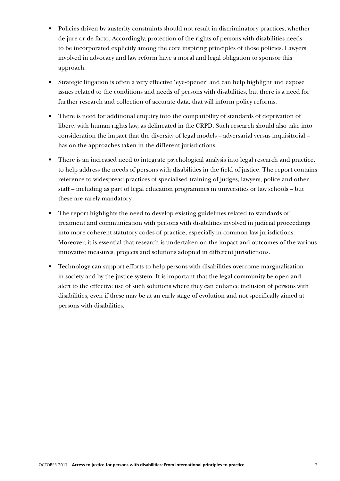- Policies driven by austerity constraints should not result in discriminatory practices, whether de jure or de facto. Accordingly, protection of the rights of persons with disabilities needs to be incorporated explicitly among the core inspiring principles of those policies. Lawyers involved in advocacy and law reform have a moral and legal obligation to sponsor this approach.
- Strategic litigation is often a very effective 'eye-opener' and can help highlight and expose issues related to the conditions and needs of persons with disabilities, but there is a need for further research and collection of accurate data, that will inform policy reforms.
- There is need for additional enquiry into the compatibility of standards of deprivation of liberty with human rights law, as delineated in the CRPD. Such research should also take into consideration the impact that the diversity of legal models – adversarial versus inquisitorial – has on the approaches taken in the different jurisdictions.
- There is an increased need to integrate psychological analysis into legal research and practice, to help address the needs of persons with disabilities in the field of justice. The report contains reference to widespread practices of specialised training of judges, lawyers, police and other staff – including as part of legal education programmes in universities or law schools – but these are rarely mandatory.
- The report highlights the need to develop existing guidelines related to standards of treatment and communication with persons with disabilities involved in judicial proceedings into more coherent statutory codes of practice, especially in common law jurisdictions. Moreover, it is essential that research is undertaken on the impact and outcomes of the various innovative measures, projects and solutions adopted in different jurisdictions.
- Technology can support efforts to help persons with disabilities overcome marginalisation in society and by the justice system. It is important that the legal community be open and alert to the effective use of such solutions where they can enhance inclusion of persons with disabilities, even if these may be at an early stage of evolution and not specifically aimed at persons with disabilities.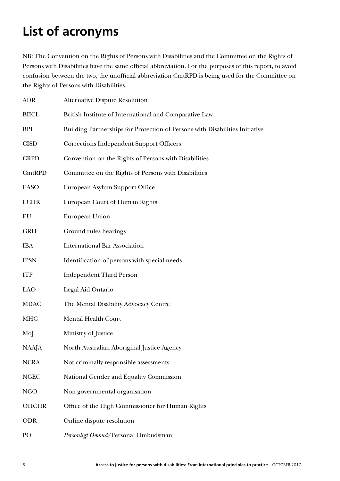## **List of acronyms**

NB: The Convention on the Rights of Persons with Disabilities and the Committee on the Rights of Persons with Disabilities have the same official abbreviation. For the purposes of this report, to avoid confusion between the two, the unofficial abbreviation CmtRPD is being used for the Committee on the Rights of Persons with Disabilities.

| <b>ADR</b>   | <b>Alternative Dispute Resolution</b>                                        |
|--------------|------------------------------------------------------------------------------|
| <b>BIICL</b> | British Institute of International and Comparative Law                       |
| <b>BPI</b>   | Building Partnerships for Protection of Persons with Disabilities Initiative |
| <b>CISD</b>  | <b>Corrections Independent Support Officers</b>                              |
| <b>CRPD</b>  | Convention on the Rights of Persons with Disabilities                        |
| CmtRPD       | Committee on the Rights of Persons with Disabilities                         |
| <b>EASO</b>  | European Asylum Support Office                                               |
| <b>ECHR</b>  | European Court of Human Rights                                               |
| EU           | European Union                                                               |
| <b>GRH</b>   | Ground rules hearings                                                        |
| <b>IBA</b>   | <b>International Bar Association</b>                                         |
| <b>IPSN</b>  | Identification of persons with special needs                                 |
| <b>ITP</b>   | <b>Independent Third Person</b>                                              |
| LAO          | Legal Aid Ontario                                                            |
| <b>MDAC</b>  | The Mental Disability Advocacy Centre                                        |
| <b>MHC</b>   | Mental Health Court                                                          |
| MoJ          | Ministry of Justice                                                          |
| NAAJA        | North Australian Aboriginal Justice Agency                                   |
| <b>NCRA</b>  | Not criminally responsible assessments                                       |
| <b>NGEC</b>  | National Gender and Equality Commission                                      |
| <b>NGO</b>   | Non-governmental organisation                                                |
| <b>OHCHR</b> | Office of the High Commissioner for Human Rights                             |
| <b>ODR</b>   | Online dispute resolution                                                    |
| PO           | Personligt Ombud/Personal Ombudsman                                          |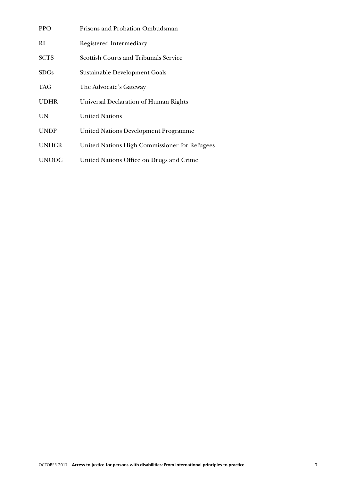| <b>PPO</b>   | Prisons and Probation Ombudsman               |
|--------------|-----------------------------------------------|
| RI           | Registered Intermediary                       |
| <b>SCTS</b>  | <b>Scottish Courts and Tribunals Service</b>  |
| <b>SDGs</b>  | Sustainable Development Goals                 |
| <b>TAG</b>   | The Advocate's Gateway                        |
| <b>UDHR</b>  | Universal Declaration of Human Rights         |
| <b>UN</b>    | <b>United Nations</b>                         |
| <b>UNDP</b>  | <b>United Nations Development Programme</b>   |
| <b>UNHCR</b> | United Nations High Commissioner for Refugees |
| <b>UNODC</b> | United Nations Office on Drugs and Crime      |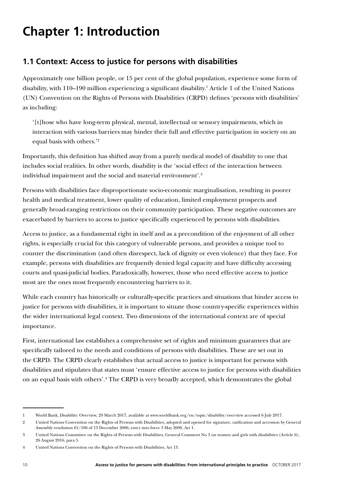## **Chapter 1: Introduction**

## **1.1 Context: Access to justice for persons with disabilities**

Approximately one billion people, or 15 per cent of the global population, experience some form of disability, with 110–190 million experiencing a significant disability.<sup>1</sup> Article 1 of the United Nations (UN) Convention on the Rights of Persons with Disabilities (CRPD) defines 'persons with disabilities' as including:

'[t]hose who have long-term physical, mental, intellectual or sensory impairments, which in interaction with various barriers may hinder their full and effective participation in society on an equal basis with others.'2

Importantly, this definition has shifted away from a purely medical model of disability to one that includes social realities. In other words, disability is the 'social effect of the interaction between individual impairment and the social and material environment'.3

Persons with disabilities face disproportionate socio-economic marginalisation, resulting in poorer health and medical treatment, lower quality of education, limited employment prospects and generally broad-ranging restrictions on their community participation. These negative outcomes are exacerbated by barriers to access to justice specifically experienced by persons with disabilities.

Access to justice, as a fundamental right in itself and as a precondition of the enjoyment of all other rights, is especially crucial for this category of vulnerable persons, and provides a unique tool to counter the discrimination (and often disrespect, lack of dignity or even violence) that they face. For example, persons with disabilities are frequently denied legal capacity and have difficulty accessing courts and quasi-judicial bodies. Paradoxically, however, those who need effective access to justice most are the ones most frequently encountering barriers to it.

While each country has historically or culturally-specific practices and situations that hinder access to justice for persons with disabilities, it is important to situate those country-specific experiences within the wider international legal context. Two dimensions of the international context are of special importance.

First, international law establishes a comprehensive set of rights and minimum guarantees that are specifically tailored to the needs and conditions of persons with disabilities. These are set out in the CRPD. The CRPD clearly establishes that actual access to justice is important for persons with disabilities and stipulates that states must 'ensure effective access to justice for persons with disabilities on an equal basis with others'.<sup>4</sup> The CRPD is very broadly accepted, which demonstrates the global

<sup>1</sup> World Bank, Disability: Overview, 29 March 2017, available at www.worldbank.org/en/topic/disability/overview accessed 6 July 2017.

<sup>2</sup> United Nations Convention on the Rights of Persons with Disabilities, adopted and opened for signature, ratification and accession by General Assembly resolution 61/106 of 13 December 2006, entry into force 3 May 2008, Art 1.

<sup>3</sup> United Nations Committee on the Rights of Persons with Disabilities, General Comment No 3 on women and girls with disabilities (Article 6), 26 August 2016, para 5.

<sup>4</sup> United Nations Convention on the Rights of Persons with Disabilities, Art 13.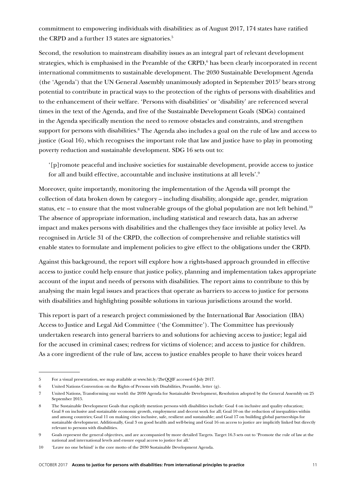commitment to empowering individuals with disabilities: as of August 2017, 174 states have ratified the CRPD and a further 13 states are signatories.<sup>5</sup>

Second, the resolution to mainstream disability issues as an integral part of relevant development strategies, which is emphasised in the Preamble of the CRPD,<sup>6</sup> has been clearly incorporated in recent international commitments to sustainable development. The 2030 Sustainable Development Agenda (the 'Agenda') that the UN General Assembly unanimously adopted in September 20157 bears strong potential to contribute in practical ways to the protection of the rights of persons with disabilities and to the enhancement of their welfare. 'Persons with disabilities' or 'disability' are referenced several times in the text of the Agenda, and five of the Sustainable Development Goals (SDGs) contained in the Agenda specifically mention the need to remove obstacles and constraints, and strengthen support for persons with disabilities.<sup>8</sup> The Agenda also includes a goal on the rule of law and access to justice (Goal 16), which recognises the important role that law and justice have to play in promoting poverty reduction and sustainable development. SDG 16 sets out to:

'[p]romote peaceful and inclusive societies for sustainable development, provide access to justice for all and build effective, accountable and inclusive institutions at all levels'.9

Moreover, quite importantly, monitoring the implementation of the Agenda will prompt the collection of data broken down by category – including disability, alongside age, gender, migration status, etc – to ensure that the most vulnerable groups of the global population are not left behind.<sup>10</sup> The absence of appropriate information, including statistical and research data, has an adverse impact and makes persons with disabilities and the challenges they face invisible at policy level. As recognised in Article 31 of the CRPD, the collection of comprehensive and reliable statistics will enable states to formulate and implement policies to give effect to the obligations under the CRPD.

Against this background, the report will explore how a rights-based approach grounded in effective access to justice could help ensure that justice policy, planning and implementation takes appropriate account of the input and needs of persons with disabilities. The report aims to contribute to this by analysing the main legal issues and practices that operate as barriers to access to justice for persons with disabilities and highlighting possible solutions in various jurisdictions around the world.

This report is part of a research project commissioned by the International Bar Association (IBA) Access to Justice and Legal Aid Committee ('the Committee'). The Committee has previously undertaken research into general barriers to and solutions for achieving access to justice; legal aid for the accused in criminal cases; redress for victims of violence; and access to justice for children. As a core ingredient of the rule of law, access to justice enables people to have their voices heard

<sup>5</sup> For a visual presentation, see map available at www.bit.ly/2brQQIF accessed 6 July 2017.

<sup>6</sup> United Nations Convention on the Rights of Persons with Disabilities, Preamble, letter (g).

<sup>7</sup> United Nations, Transforming our world: the 2030 Agenda for Sustainable Development, Resolution adopted by the General Assembly on 25 September 2015.

The Sustainable Development Goals that explicitly mention persons with disabilities include: Goal 4 on inclusive and quality education; Goal 8 on inclusive and sustainable economic growth, employment and decent work for all; Goal 10 on the reduction of inequalities within and among countries; Goal 11 on making cities inclusive, safe, resilient and sustainable; and Goal 17 on building global partnerships for sustainable development. Additionally, Goal 3 on good health and well-being and Goal 16 on access to justice are implicitly linked but directly relevant to persons with disabilities.

<sup>9</sup> Goals represent the general objectives, and are accompanied by more detailed Targets. Target 16.3 sets out to 'Promote the rule of law at the national and international levels and ensure equal access to justice for all.'

<sup>10</sup> 'Leave no one behind' is the core motto of the 2030 Sustainable Development Agenda.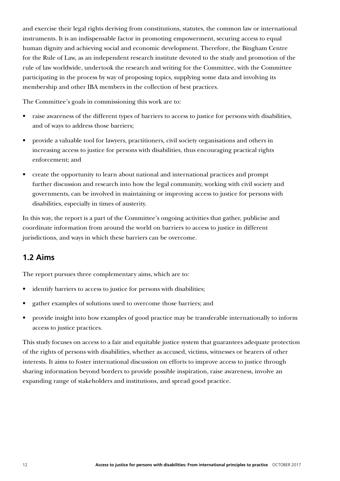and exercise their legal rights deriving from constitutions, statutes, the common law or international instruments. It is an indispensable factor in promoting empowerment, securing access to equal human dignity and achieving social and economic development. Therefore, the Bingham Centre for the Rule of Law, as an independent research institute devoted to the study and promotion of the rule of law worldwide, undertook the research and writing for the Committee, with the Committee participating in the process by way of proposing topics, supplying some data and involving its membership and other IBA members in the collection of best practices.

The Committee's goals in commissioning this work are to:

- raise awareness of the different types of barriers to access to justice for persons with disabilities, and of ways to address those barriers;
- provide a valuable tool for lawyers, practitioners, civil society organisations and others in increasing access to justice for persons with disabilities, thus encouraging practical rights enforcement; and
- create the opportunity to learn about national and international practices and prompt further discussion and research into how the legal community, working with civil society and governments, can be involved in maintaining or improving access to justice for persons with disabilities, especially in times of austerity.

In this way, the report is a part of the Committee's ongoing activities that gather, publicise and coordinate information from around the world on barriers to access to justice in different jurisdictions, and ways in which these barriers can be overcome.

### **1.2 Aims**

The report pursues three complementary aims, which are to:

- identify barriers to access to justice for persons with disabilities;
- gather examples of solutions used to overcome those barriers; and
- provide insight into how examples of good practice may be transferable internationally to inform access to justice practices.

This study focuses on access to a fair and equitable justice system that guarantees adequate protection of the rights of persons with disabilities, whether as accused, victims, witnesses or bearers of other interests. It aims to foster international discussion on efforts to improve access to justice through sharing information beyond borders to provide possible inspiration, raise awareness, involve an expanding range of stakeholders and institutions, and spread good practice.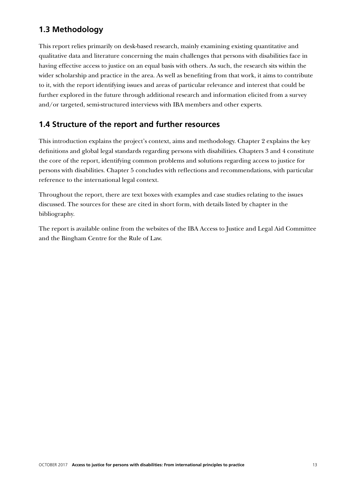## **1.3 Methodology**

This report relies primarily on desk-based research, mainly examining existing quantitative and qualitative data and literature concerning the main challenges that persons with disabilities face in having effective access to justice on an equal basis with others. As such, the research sits within the wider scholarship and practice in the area. As well as benefiting from that work, it aims to contribute to it, with the report identifying issues and areas of particular relevance and interest that could be further explored in the future through additional research and information elicited from a survey and/or targeted, semi-structured interviews with IBA members and other experts.

### **1.4 Structure of the report and further resources**

This introduction explains the project's context, aims and methodology. Chapter 2 explains the key definitions and global legal standards regarding persons with disabilities. Chapters 3 and 4 constitute the core of the report, identifying common problems and solutions regarding access to justice for persons with disabilities. Chapter 5 concludes with reflections and recommendations, with particular reference to the international legal context.

Throughout the report, there are text boxes with examples and case studies relating to the issues discussed. The sources for these are cited in short form, with details listed by chapter in the bibliography.

The report is available online from the websites of the IBA Access to Justice and Legal Aid Committee and the Bingham Centre for the Rule of Law.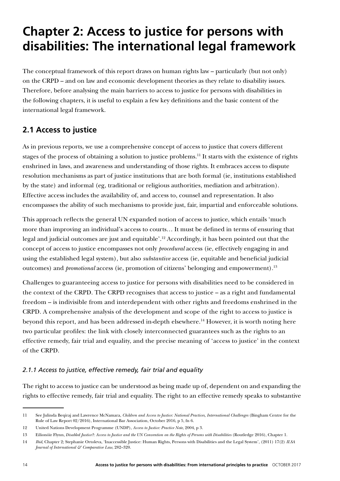## **Chapter 2: Access to justice for persons with disabilities: The international legal framework**

The conceptual framework of this report draws on human rights law – particularly (but not only) on the CRPD – and on law and economic development theories as they relate to disability issues. Therefore, before analysing the main barriers to access to justice for persons with disabilities in the following chapters, it is useful to explain a few key definitions and the basic content of the international legal framework.

## **2.1 Access to justice**

As in previous reports, we use a comprehensive concept of access to justice that covers different stages of the process of obtaining a solution to justice problems.<sup>11</sup> It starts with the existence of rights enshrined in laws, and awareness and understanding of those rights. It embraces access to dispute resolution mechanisms as part of justice institutions that are both formal (ie, institutions established by the state) and informal (eg, traditional or religious authorities, mediation and arbitration). Effective access includes the availability of, and access to, counsel and representation. It also encompasses the ability of such mechanisms to provide just, fair, impartial and enforceable solutions.

This approach reflects the general UN expanded notion of access to justice, which entails 'much more than improving an individual's access to courts… It must be defined in terms of ensuring that legal and judicial outcomes are just and equitable'.12 Accordingly, it has been pointed out that the concept of access to justice encompasses not only *procedural* access (ie, effectively engaging in and using the established legal system), but also *substantive* access (ie, equitable and beneficial judicial outcomes) and *promotional* access (ie, promotion of citizens' belonging and empowerment).<sup>13</sup>

Challenges to guaranteeing access to justice for persons with disabilities need to be considered in the context of the CRPD. The CRPD recognises that access to justice – as a right and fundamental freedom – is indivisible from and interdependent with other rights and freedoms enshrined in the CRPD. A comprehensive analysis of the development and scope of the right to access to justice is beyond this report, and has been addressed in-depth elsewhere.<sup>14</sup> However, it is worth noting here two particular profiles: the link with closely interconnected guarantees such as the rights to an effective remedy, fair trial and equality, and the precise meaning of 'access to justice' in the context of the CRPD.

#### *2.1.1 Access to justice, effective remedy, fair trial and equality*

The right to access to justice can be understood as being made up of, dependent on and expanding the rights to effective remedy, fair trial and equality. The right to an effective remedy speaks to substantive

<sup>11</sup> See Julinda Beqiraj and Lawrence McNamara, *Children and Access to Justice: National Practices, International Challenges* (Bingham Centre for the Rule of Law Report 02/2016), International Bar Association, October 2016, p 5, fn 6.

<sup>12</sup> United Nations Development Programme (UNDP), *Access to Justice: Practice Note*, 2004, p 3.

<sup>13</sup> Eilionóir Flynn, *Disabled Justice?: Access to Justice and the UN Convention on the Rights of Persons with Disabilities* (Routledge 2016), Chapter 1.

<sup>14</sup> *Ibid*, Chapter 2; Stephanie Ortoleva, 'Inaccessible Justice: Human Rights, Persons with Disabilities and the Legal System', (2011) 17(2) *ILSA Journal of International & Comparative Law*, 282–320.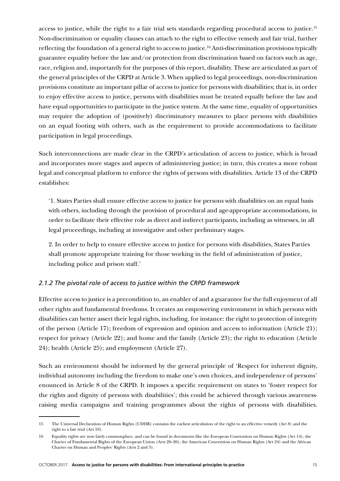access to justice, while the right to a fair trial sets standards regarding procedural access to justice.15 Non-discrimination or equality clauses can attach to the right to effective remedy and fair trial, further reflecting the foundation of a general right to access to justice.16 Anti-discrimination provisions typically guarantee equality before the law and/or protection from discrimination based on factors such as age, race, religion and, importantly for the purposes of this report, disability. These are articulated as part of the general principles of the CRPD at Article 3. When applied to legal proceedings, non-discrimination provisions constitute an important pillar of access to justice for persons with disabilities; that is, in order to enjoy effective access to justice, persons with disabilities must be treated equally before the law and have equal opportunities to participate in the justice system. At the same time, equality of opportunities may require the adoption of (positively) discriminatory measures to place persons with disabilities on an equal footing with others, such as the requirement to provide accommodations to facilitate participation in legal proceedings.

Such interconnections are made clear in the CRPD's articulation of access to justice, which is broad and incorporates more stages and aspects of administering justice; in turn, this creates a more robust legal and conceptual platform to enforce the rights of persons with disabilities. Article 13 of the CRPD establishes:

'1. States Parties shall ensure effective access to justice for persons with disabilities on an equal basis with others, including through the provision of procedural and age-appropriate accommodations, in order to facilitate their effective role as direct and indirect participants, including as witnesses, in all legal proceedings, including at investigative and other preliminary stages.

2. In order to help to ensure effective access to justice for persons with disabilities, States Parties shall promote appropriate training for those working in the field of administration of justice, including police and prison staff.'

#### *2.1.2 The pivotal role of access to justice within the CRPD framework*

Effective access to justice is a precondition to, an enabler of and a guarantee for the full enjoyment of all other rights and fundamental freedoms. It creates an empowering environment in which persons with disabilities can better assert their legal rights, including, for instance: the right to protection of integrity of the person (Article 17); freedom of expression and opinion and access to information (Article 21); respect for privacy (Article 22); and home and the family (Article 23); the right to education (Article 24); health (Article 25); and employment (Article 27).

Such an environment should be informed by the general principle of 'Respect for inherent dignity, individual autonomy including the freedom to make one's own choices, and independence of persons' enounced in Article 8 of the CRPD. It imposes a specific requirement on states to 'foster respect for the rights and dignity of persons with disabilities'; this could be achieved through various awarenessraising media campaigns and training programmes about the rights of persons with disabilities.

<sup>15</sup> The Universal Declaration of Human Rights (UDHR) contains the earliest articulation of the right to an effective remedy (Art 8) and the right to a fair trial (Art 10).

<sup>16</sup> Equality rights are now fairly commonplace, and can be found in documents like the European Convention on Human Rights (Art 14), the Charter of Fundamental Rights of the European Union (Arts 20–26), the American Convention on Human Rights (Art 24) and the African Charter on Human and Peoples' Rights (Arts 2 and 3).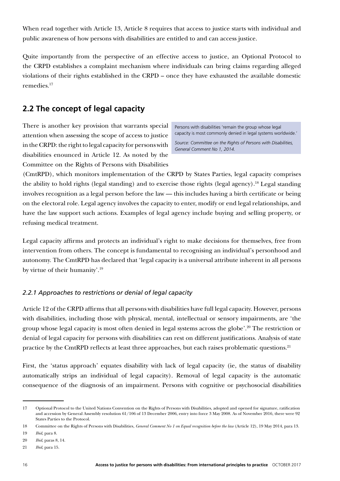When read together with Article 13, Article 8 requires that access to justice starts with individual and public awareness of how persons with disabilities are entitled to and can access justice.

Quite importantly from the perspective of an effective access to justice, an Optional Protocol to the CRPD establishes a complaint mechanism where individuals can bring claims regarding alleged violations of their rights established in the CRPD – once they have exhausted the available domestic remedies.17

## **2.2 The concept of legal capacity**

There is another key provision that warrants special attention when assessing the scope of access to justice in the CRPD: the right to legal capacity for persons with disabilities enounced in Article 12. As noted by the Committee on the Rights of Persons with Disabilities

Persons with disabilities 'remain the group whose legal capacity is most commonly denied in legal systems worldwide.'

*Source: Committee on the Rights of Persons with Disabilities, General Comment No 1, 2014.*

(CmtRPD), which monitors implementation of the CRPD by States Parties, legal capacity comprises the ability to hold rights (legal standing) and to exercise those rights (legal agency).18 Legal standing involves recognition as a legal person before the law — this includes having a birth certificate or being on the electoral role. Legal agency involves the capacity to enter, modify or end legal relationships, and have the law support such actions. Examples of legal agency include buying and selling property, or refusing medical treatment.

Legal capacity affirms and protects an individual's right to make decisions for themselves, free from intervention from others. The concept is fundamental to recognising an individual's personhood and autonomy. The CmtRPD has declared that 'legal capacity is a universal attribute inherent in all persons by virtue of their humanity'.19

#### *2.2.1 Approaches to restrictions or denial of legal capacity*

Article 12 of the CRPD affirms that all persons with disabilities have full legal capacity. However, persons with disabilities, including those with physical, mental, intellectual or sensory impairments, are 'the group whose legal capacity is most often denied in legal systems across the globe'.20 The restriction or denial of legal capacity for persons with disabilities can rest on different justifications. Analysis of state practice by the CmtRPD reflects at least three approaches, but each raises problematic questions.<sup>21</sup>

First, the 'status approach' equates disability with lack of legal capacity (ie, the status of disability automatically strips an individual of legal capacity). Removal of legal capacity is the automatic consequence of the diagnosis of an impairment. Persons with cognitive or psychosocial disabilities

<sup>17</sup> Optional Protocol to the United Nations Convention on the Rights of Persons with Disabilities, adopted and opened for signature, ratification and accession by General Assembly resolution 61/106 of 13 December 2006, entry into force 3 May 2008. As of November 2016, there were 92 States Parties to the Protocol.

<sup>18</sup> Committee on the Rights of Persons with Disabilities, *General Comment No 1 on Equal recognition before the law* (Article 12), 19 May 2014, para 13. 19 *Ibid*, para 8.

<sup>20</sup> *Ibid*, paras 8, 14.

<sup>21</sup> *Ibid*, para 15.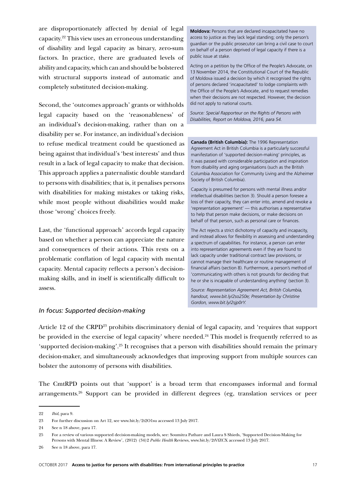are disproportionately affected by denial of legal capacity.22 This view uses an erroneous understanding of disability and legal capacity as binary, zero-sum factors. In practice, there are graduated levels of ability and capacity, which can and should be bolstered with structural supports instead of automatic and completely substituted decision-making.

Second, the 'outcomes approach' grants or withholds legal capacity based on the 'reasonableness' of an individual's decision-making, rather than on a disability per se. For instance, an individual's decision to refuse medical treatment could be questioned as being against that individual's 'best interests' and thus result in a lack of legal capacity to make that decision. This approach applies a paternalistic double standard to persons with disabilities; that is, it penalises persons with disabilities for making mistakes or taking risks, while most people without disabilities would make those 'wrong' choices freely.

Last, the 'functional approach' accords legal capacity based on whether a person can appreciate the nature and consequences of their actions. This rests on a problematic conflation of legal capacity with mental capacity. Mental capacity reflects a person's decisionmaking skills, and in itself is scientifically difficult to assess.

**Moldova:** Persons that are declared incapacitated have no access to justice as they lack legal standing; only the person's guardian or the public prosecutor can bring a civil case to court on behalf of a person deprived of legal capacity if there is a public issue at stake.

Acting on a petition by the Office of the People's Advocate, on 13 November 2014, the Constitutional Court of the Republic of Moldova issued a decision by which it recognised the rights of persons declared 'incapacitated' to lodge complaints with the Office of the People's Advocate, and to request remedies when their decisions are not respected. However, the decision did not apply to national courts.

*Source: Special Rapporteur on the Rights of Persons with Disabilities, Report on Moldova, 2016, para 54.* 

**Canada (British Columbia):** The 1996 Representation Agreement Act in British Columbia is a particularly successful manifestation of 'supported decision-making' principles, as it was passed with considerable participation and inspiration from disability and aging organisations (such as the British Columbia Association for Community Living and the Alzheimer Society of British Columbia).

Capacity is presumed for persons with mental illness and/or intellectual disabilities (section 3). Should a person foresee a loss of their capacity, they can enter into, amend and revoke a 'representation agreement' — this authorises a representative to help that person make decisions, or make decisions on behalf of that person, such as personal care or finances.

The Act rejects a strict dichotomy of capacity and incapacity, and instead allows for flexibility in assessing and understanding a spectrum of capabilities. For instance, a person can enter into representation agreements even if they are found to lack capacity under traditional contract law provisions, or cannot manage their healthcare or routine management of financial affairs (section 8). Furthermore, a person's method of 'communicating with others is not grounds for deciding that he or she is incapable of understanding anything' (section 3).

*Source: Representation Agreement Act, British Columbia, handout, www.bit.ly/2so2S0e; Presentation by Christine Gordon, www.bit.ly/2sjp0rY.*

#### *In focus: Supported decision-making*

Article 12 of the CRPD<sup>23</sup> prohibits discriminatory denial of legal capacity, and 'requires that support be provided in the exercise of legal capacity' where needed. $24$  This model is frequently referred to as 'supported decision-making'.25 It recognises that a person with disabilities should remain the primary decision-maker, and simultaneously acknowledges that improving support from multiple sources can bolster the autonomy of persons with disabilities.

The CmtRPD points out that 'support' is a broad term that encompasses informal and formal arrangements.26 Support can be provided in different degrees (eg, translation services or peer

<sup>22</sup> *Ibid*, para 9.

<sup>23</sup> For further discussion on Art 12, see www.bit.ly/2t2O1su accessed 13 July 2017.

<sup>24</sup> See n 18 above, para 17.

<sup>25</sup> For a review of various supported decision-making models, see: Soumitra Pathare and Laura S Shieds, 'Supported Decision-Making for Persons with Mental Illness: A Review', (2012) (34)2 *Public Health* Reviews, www.bit.ly/2tVfZCX accessed 13 July 2017.

<sup>26</sup> See n 18 above, para 17.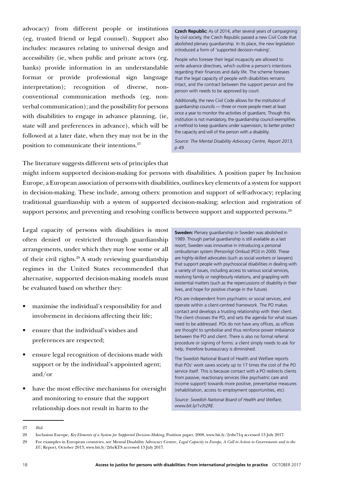advocacy) from different people or institutions (eg, trusted friend or legal counsel). Support also includes: measures relating to universal design and accessibility (ie, when public and private actors (eg, banks) provide information in an understandable format or provide professional sign language interpretation); recognition of diverse, nonconventional communication methods (eg, nonverbal communication); and the possibility for persons with disabilities to engage in advance planning, (ie, state will and preferences in advance), which will be followed at a later date, when they may not be in the position to communicate their intentions.<sup>27</sup>

**Czech Republic:** As of 2014, after several years of campaigning by civil society, the Czech Republic passed a new Civil Code that abolished plenary guardianship. In its place, the new legislation introduced a form of 'supported decision-making'.

People who foresee their legal incapacity are allowed to write advance directives, which outline a person's intentions regarding their finances and daily life. The scheme foresees that the legal capacity of people with disabilities remains intact, and the contract between the support person and the person with needs to be approved by court.

Additionally, the new Civil Code allows for the institution of guardianship councils — three or more people meet at least once a year to monitor the activities of guardians. Though this institution is not mandatory, the guardianship council exemplifies a method to keep guardians under supervision, to better protect the capacity and will of the person with a disability.

*Source: The Mental Disability Advocacy Centre, Report 2013, p 49.* 

The literature suggests different sets of principles that

might inform supported decision-making for persons with disabilities. A position paper by Inclusion Europe, a European association of persons with disabilities, outlines key elements of a system for support in decision-making. These include, among others: promotion and support of self-advocacy; replacing traditional guardianship with a system of supported decision-making; selection and registration of support persons; and preventing and resolving conflicts between support and supported persons.<sup>28</sup>

Legal capacity of persons with disabilities is most often denied or restricted through guardianship arrangements, under which they may lose some or all of their civil rights.29 A study reviewing guardianship regimes in the United States recommended that alternative, supported decision-making models must be evaluated based on whether they:

- maximise the individual's responsibility for and involvement in decisions affecting their life;
- ensure that the individual's wishes and preferences are respected;
- ensure legal recognition of decisions made with support or by the individual's appointed agent; and/or
- have the most effective mechanisms for oversight and monitoring to ensure that the support relationship does not result in harm to the

**Sweden:** Plenary guardianship in Sweden was abolished in 1989. Though partial guardianship is still available as a last resort, Sweden was innovative in introducing a personal ombudsman system (Personligt Ombud (PO)) in 2000. These are highly-skilled advocates (such as social workers or lawyers) that support people with psychosocial disabilities in dealing with a variety of issues, including access to various social services, resolving family or neighbourly relations, and grappling with existential matters (such as the repercussions of disability in their lives, and hope for positive change in the future).

POs are independent from psychiatric or social services, and operate within a client-centred framework. The PO makes contact and develops a trusting relationship with their client. The client chooses the PO, and sets the agenda for what issues need to be addressed. POs do not have any offices, as offices are thought to symbolise and thus reinforce power imbalance between the PO and client. There is also no formal referral procedure or signing of forms: a client simply needs to ask for help, therefore bureaucracy is diminished.

The Swedish National Board of Health and Welfare reports that POs' work saves society up to 17 times the cost of the PO service itself. This is because contact with a PO redirects clients from passive, reactionary services (like psychiatric care and income support) towards more positive, preventative measures (rehabilitation, access to employment opportunities, etc).

*Source: Swedish National Board of Health and Welfare, www.bit.ly/1v3t2RE.*

<sup>27</sup> *Ibid*.

<sup>28</sup> Inclusion Europe, *Key Elements of a System for Supported Decision-Making*, Position paper, 2008, www.bit.ly/2rdw71q accessed 13 July 2017.

<sup>29</sup> For examples in European countries, see Mental Disability Advocacy Centre, *Legal Capacity in Europe, A Call to Action to Governments and to the EU*, Report, October 2013, www.bit.ly/2thrKTS accessed 13 July 2017.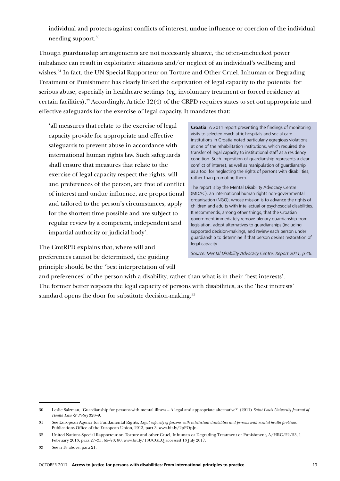individual and protects against conflicts of interest, undue influence or coercion of the individual needing support.30

Though guardianship arrangements are not necessarily abusive, the often-unchecked power imbalance can result in exploitative situations and/or neglect of an individual's wellbeing and wishes.<sup>31</sup> In fact, the UN Special Rapporteur on Torture and Other Cruel, Inhuman or Degrading Treatment or Punishment has clearly linked the deprivation of legal capacity to the potential for serious abuse, especially in healthcare settings (eg, involuntary treatment or forced residency at certain facilities).32 Accordingly, Article 12(4) of the CRPD requires states to set out appropriate and effective safeguards for the exercise of legal capacity. It mandates that:

'all measures that relate to the exercise of legal capacity provide for appropriate and effective safeguards to prevent abuse in accordance with international human rights law. Such safeguards shall ensure that measures that relate to the exercise of legal capacity respect the rights, will and preferences of the person, are free of conflict of interest and undue influence, are proportional and tailored to the person's circumstances, apply for the shortest time possible and are subject to regular review by a competent, independent and impartial authority or judicial body'.

The CmtRPD explains that, where will and preferences cannot be determined, the guiding principle should be the 'best interpretation of will

**Croatia:** A 2011 report presenting the findings of monitoring visits to selected psychiatric hospitals and social care institutions in Croatia noted particularly egregious violations at one of the rehabilitation institutions, which required the transfer of legal capacity to institutional staff as a residency condition. Such imposition of guardianship represents a clear conflict of interest, as well as manipulation of guardianship as a tool for neglecting the rights of persons with disabilities, rather than promoting them.

The report is by the Mental Disability Advocacy Centre (MDAC), an international human rights non-governmental organisation (NGO), whose mission is to advance the rights of children and adults with intellectual or psychosocial disabilities. It recommends, among other things, that the Croatian government immediately remove plenary guardianship from legislation, adopt alternatives to guardianships (including supported decision-making), and review each person under guardianship to determine if that person desires restoration of legal capacity.

*Source: Mental Disability Advocacy Centre, Report 2011, p 46.* 

and preferences' of the person with a disability, rather than what is in their 'best interests'. The former better respects the legal capacity of persons with disabilities, as the 'best interests' standard opens the door for substitute decision-making.<sup>33</sup>

<sup>30</sup> Leslie Salzman, 'Guardianship for persons with mental illness – A legal and appropriate alternative?' (2011) *Saint Louis University Journal of Health Law & Policy* 328–9.

<sup>31</sup> See European Agency for Fundamental Rights, *Legal capacity of persons with intellectual disabilities and persons with mental health problems*, Publications Office of the European Union, 2013, part 3, www.bit.ly/2pPOpJn.

<sup>32</sup> United Nations Special Rapporteur on Torture and other Cruel, Inhuman or Degrading Treatment or Punishment, A/HRC/22/53, 1 February 2013, para 27–35; 65–70; 80, www.bit.ly/18UCGLQ accessed 13 July 2017.

<sup>33</sup> See n 18 above, para 21.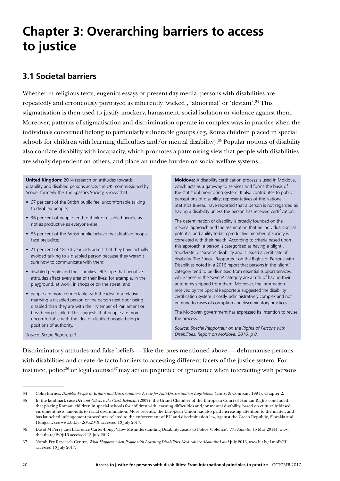## **Chapter 3: Overarching barriers to access to justice**

## **3.1 Societal barriers**

Whether in religious texts, eugenics essays or present-day media, persons with disabilities are repeatedly and erroneously portrayed as inherently 'wicked', 'abnormal' or 'deviant'.34 This stigmatisation is then used to justify mockery, harassment, social isolation or violence against them. Moreover, patterns of stigmatisation and discrimination operate in complex ways in practice when the individuals concerned belong to particularly vulnerable groups (eg, Roma children placed in special schools for children with learning difficulties and/or mental disability).<sup>35</sup> Popular notions of disability also conflate disability with incapacity, which promotes a patronising view that people with disabilities are wholly dependent on others, and place an undue burden on social welfare systems.

**United Kingdom:** 2014 research on attitudes towards disability and disabled persons across the UK, commissioned by Scope, formerly the The Spastics Society, shows that:

- 67 per cent of the British public feel uncomfortable talking to disabled people;
- 36 per cent of people tend to think of disabled people as not as productive as everyone else;
- 85 per cent of the British public believe that disabled people face prejudice;
- 21 per cent of 18–34 year olds admit that they have actually avoided talking to a disabled person because they weren't sure how to communicate with them;
- disabled people and their families tell Scope that negative attitudes affect every area of their lives; for example, in the playground, at work, in shops or on the street; and
- people are more comfortable with the idea of a relative marrying a disabled person or the person next door being disabled than they are with their Member of Parliament or boss being disabled. This suggests that people are more uncomfortable with the idea of disabled people being in positions of authority.

**Moldova:** A disability certification process is used in Moldova, which acts as a gateway to services and forms the basis of the statistical monitoring system. It also contributes to public perceptions of disability; representatives of the National Statistics Bureau have reported that a person is not regarded as having a disability unless the person has received certification.

The determination of disability is broadly founded on the medical approach and the assumption that an individual's social potential and ability to be a productive member of society is correlated with their health. According to criteria based upon this approach, a person is categorised as having a 'slight', 'moderate' or 'severe' disability and is issued a certificate of disability. The Special Rapporteur on the Rights of Persons with Disabilities noted in a 2016 report that persons in the 'slight' category tend to be dismissed from essential support services, while those in the 'severe' category are at risk of having their autonomy stripped from them. Moreover, the information received by the Special Rapporteur suggested the disability certification system is costly, administratively complex and not immune to cases of corruption and discriminatory practices.

The Moldovan government has expressed its intention to revise the process.

*Source: Special Rapporteur on the Rights of Persons with Disabilities, Report on Moldova, 2016, p 8.*

*Source: Scope Report, p 3.* 

Discriminatory attitudes and false beliefs — like the ones mentioned above — dehumanise persons with disabilities and create de facto barriers to accessing different facets of the justice system. For instance, police<sup>36</sup> or legal counsel<sup>37</sup> may act on prejudice or ignorance when interacting with persons

<sup>34</sup> Colin Barnes, *Disabled People in Britain and Discrimination: A case for Anti-Discrimination Legislation*, (Hurst & Company 1991), Chapter 2.

<sup>35</sup> In the landmark case *DH and Others v the Czech Republic* (2007), the Grand Chamber of the European Court of Human Rights concluded that placing Romani children in special schools for children with learning difficulties and/or mental disability, based on culturally biased enrolment tests, amounts to racial discrimination. More recently, the European Union has also paid increasing attention to the matter, and has launched infringement procedures related to the enforcement of EU anti-discrimination law, against the Czech Republic, Slovakia and Hungary, see www.bit.ly/2sVKZVX accessed 13 July 2017.

<sup>36</sup> David M Perry and Lawrence Carter-Long, 'How Misunderstanding Disability Leads to Police Violence', *The Atlantic*, (6 May 2014), www. theatln.tc/2s9js16 accessed 13 July 2017.

<sup>37</sup> Norah Fry Research Centre, *What Happens when People with Learning Disabilities Need Advice About the Law?* July 2013, www.bit.ly/1moPvEf accessed 13 July 2017.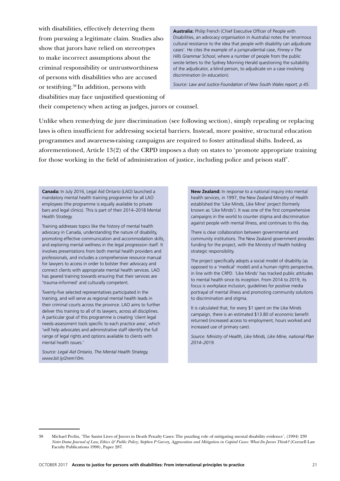with disabilities, effectively deterring them from pursuing a legitimate claim. Studies also show that jurors have relied on stereotypes to make incorrect assumptions about the criminal responsibility or untrustworthiness of persons with disabilities who are accused or testifying.38 In addition, persons with disabilities may face unjustified questioning of

**Australia:** Philip French (Chief Executive Officer of People with Disabilities, an advocacy organisation in Australia) notes the 'enormous cultural resistance to the idea that people with disability can adjudicate cases'. He cites the example of a jurisprudential case, *Finney v The Hills Grammar School*, where a number of people from the public wrote letters to the Sydney Morning Herald questioning the suitability of the adjudicator, a blind person, to adjudicate on a case involving discrimination (in education).

*Source: Law and Justice Foundation of New South Wales report, p 45.*

their competency when acting as judges, jurors or counsel.

Unlike when remedying de jure discrimination (see following section), simply repealing or replacing laws is often insufficient for addressing societal barriers. Instead, more positive, structural education programmes and awareness-raising campaigns are required to foster attitudinal shifts. Indeed, as aforementioned, Article 13(2) of the CRPD imposes a duty on states to 'promote appropriate training for those working in the field of administration of justice, including police and prison staff'.

**Canada:** In July 2016, Legal Aid Ontario (LAO) launched a mandatory mental health training programme for all LAO employees (the programme is equally available to private bars and legal clinics). This is part of their 2014–2018 Mental Health Strategy.

Training addresses topics like the history of mental health advocacy in Canada, understanding the nature of disability, promoting effective communication and accommodation skills, and exploring mental wellness in the legal progression itself. It involves presentations from both mental health providers and professionals, and includes a comprehensive resource manual for lawyers to access in order to bolster their advocacy and connect clients with appropriate mental health services. LAO has geared training towards ensuring that their services are 'trauma-informed' and culturally competent.

Twenty-five selected representatives participated in the training, and will serve as regional mental health leads in their criminal courts across the province. LAO aims to further deliver this training to all of its lawyers, across all disciplines. A particular goal of this programme is creating 'client legal needs-assessment tools specific to each practice area', which 'will help advocates and administrative staff identify the full range of legal rights and options available to clients with mental health issues.'

*Source: Legal Aid Ontario, The Mental Health Strategy, www.bit.ly/2rem10m.*

**New Zealand:** In response to a national inquiry into mental health services, in 1997, the New Zealand Ministry of Health established the 'Like Minds, Like Mine' project (formerly known as 'Like Minds'). It was one of the first comprehensive campaigns in the world to counter stigma and discrimination against people with mental illness, and continues to this day.

There is clear collaboration between governmental and community institutions. The New Zealand government provides funding for the project, with the Ministry of Health holding strategic responsibility.

The project specifically adopts a social model of disability (as opposed to a 'medical' model) and a human rights perspective, in line with the CRPD. 'Like Minds' has tracked public attitudes to mental health since its inception. From 2014 to 2019, its focus is workplace inclusion, guidelines for positive media portrayal of mental illness and promoting community solutions to discrimination and stigma.

It is calculated that, for every \$1 spent on the Like Minds campaign, there is an estimated \$13.80 of economic benefit returned (increased access to employment, hours worked and increased use of primary care).

*Source: Ministry of Health, Like Minds, Like Mine, national Plan 2014–2019.* 

<sup>38</sup> Michael Perlin, 'The Sanist Lives of Jurors in Death Penalty Cases: The puzzling role of mitigating mental disability evidence', (1994) 239 *Notre Dame Journal of Law, Ethics & Public Policy; Stephen P Garvey, Aggravation and Mitigation in Capital Cases: What Do Jurors Think?* (Cornell Law Faculty Publications 1998), Paper 287.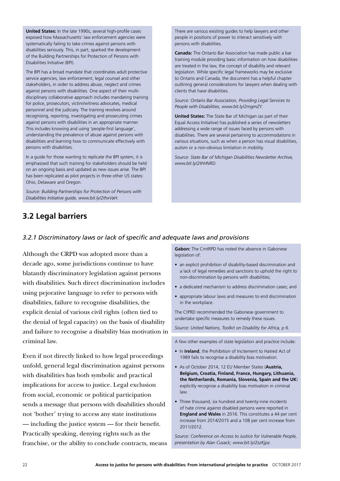**United States:** In the late 1990s, several high-profile cases exposed how Massachusetts' law enforcement agencies were systematically failing to take crimes against persons with disabilities seriously. This, in part, sparked the development of the Building Partnerships for Protection of Persons with Disabilities Initiative (BPI).

The BPI has a broad mandate that coordinates adult protective service agencies, law enforcement, legal counsel and other stakeholders, in order to address abuse, neglect and crimes against persons with disabilities. One aspect of their multidisciplinary collaborative approach includes mandating training for police, prosecutors, victim/witness advocates, medical personnel and the judiciary. The training revolves around recognising, reporting, investigating and prosecuting crimes against persons with disabilities in an appropriate manner. This includes knowing and using 'people-first language', understanding the prevalence of abuse against persons with disabilities and learning how to communicate effectively with persons with disabilities.

In a guide for those wanting to replicate the BPI system, it is emphasised that such training for stakeholders should be held on an ongoing basis and updated as new issues arise. The BPI has been replicated as pilot projects in three other US states: Ohio, Delaware and Oregon.

*Source: Building Partnerships for Protection of Persons with Disabilities Initiative guide, www.bit.ly/2thxVaH.* 

There are various existing guides to help lawyers and other people in positions of power to interact sensitively with persons with disabilities.

**Canada:** The Ontario Bar Association has made public a bar training module providing basic information on how disabilities are treated in the law, the concept of disability and relevant legislation. While specific legal frameworks may be exclusive to Ontario and Canada, the document has a helpful chapter outlining general considerations for lawyers when dealing with clients that have disabilities.

*Source: Ontario Bar Association, Providing Legal Services to People with Disabilities, www.bit.ly/2rngmZY.* 

**United States:** The State Bar of Michigan (as part of their Equal Access Initiative) has published a series of newsletters addressing a wide range of issues faced by persons with disabilities. There are several pertaining to accommodations in various situations, such as when a person has visual disabilities, autism or a non-obvious limitation in mobility.

*Source: State Bar of Michigan Disabilities Newsletter Archive, www.bit.ly/2thHNRD.* 

## **3.2 Legal barriers**

#### *3.2.1 Discriminatory laws or lack of specific and adequate laws and provisions*

Although the CRPD was adopted more than a decade ago, some jurisdictions continue to have blatantly discriminatory legislation against persons with disabilities. Such direct discrimination includes using pejorative language to refer to persons with disabilities, failure to recognise disabilities, the explicit denial of various civil rights (often tied to the denial of legal capacity) on the basis of disability and failure to recognise a disability bias motivation in criminal law.

Even if not directly linked to how legal proceedings unfold, general legal discrimination against persons with disabilities has both symbolic and practical implications for access to justice. Legal exclusion from social, economic or political participation sends a message that persons with disabilities should not 'bother' trying to access any state institutions — including the justice system — for their benefit. Practically speaking, denying rights such as the franchise, or the ability to conclude contracts, means

**Gabon:** The CmtRPD has noted the absence in Gabonese legislation of:

- an explicit prohibition of disability-based discrimination and a lack of legal remedies and sanctions to uphold the right to non-discrimination by persons with disabilities;
- a dedicated mechanism to address discrimination cases; and
- appropriate labour laws and measures to end discrimination in the workplace.

The CtPRD recommended the Gabonese government to undertake specific measures to remedy these issues.

*Source: United Nations, Toolkit on Disability for Africa, p 6.* 

A few other examples of state legislation and practice include:

- In **Ireland**, the Prohibition of Incitement to Hatred Act of 1989 fails to recognise a disability bias motivation.
- As of October 2014, 12 EU Member States (**Austria, Belgium, Croatia, Finland, France, Hungary, Lithuania, the Netherlands, Romania, Slovenia, Spain and the UK**) explicitly recognise a disability bias motivation in criminal law.
- Three thousand, six hundred and twenty-nine incidents of hate crime against disabled persons were reported in **England and Wales** in 2016. This constitutes a 44 per cent increase from 2014/2015 and a 108 per cent increase from 2011/2012.

*Source: Conference on Access to Justice for Vulnerable People, presentation by Alan Cusack; www.bit.ly/2szKjpz.*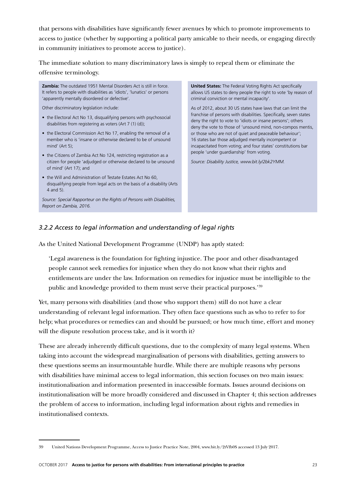that persons with disabilities have significantly fewer avenues by which to promote improvements to access to justice (whether by supporting a political party amicable to their needs, or engaging directly in community initiatives to promote access to justice).

The immediate solution to many discriminatory laws is simply to repeal them or eliminate the offensive terminology.

**Zambia:** The outdated 1951 Mental Disorders Act is still in force. It refers to people with disabilities as 'idiots', 'lunatics' or persons 'apparently mentally disordered or defective'.

Other discriminatory legislation include:

- the Electoral Act No 13, disqualifying persons with psychosocial disabilities from registering as voters (Art 7 (1) (d));
- the Electoral Commission Act No 17, enabling the removal of a member who is 'insane or otherwise declared to be of unsound mind' (Art 5);
- the Citizens of Zambia Act No 124, restricting registration as a citizen for people 'adjudged or otherwise declared to be unsound of mind' (Art 17); and
- the Will and Administration of Testate Estates Act No 60, disqualifying people from legal acts on the basis of a disability (Arts 4 and 5).

*Source: Special Rapporteur on the Rights of Persons with Disabilities, Report on Zambia, 2016.*

**United States:** The Federal Voting Rights Act specifically allows US states to deny people the right to vote 'by reason of criminal conviction or mental incapacity'.

As of 2012, about 30 US states have laws that can limit the franchise of persons with disabilities. Specifically, seven states deny the right to vote to 'idiots or insane persons'; others deny the vote to those of 'unsound mind, non-compos mentis, or those who are not of quiet and peaceable behaviour'; 16 states bar those adjudged mentally incompetent or incapacitated from voting; and four states' constitutions bar people 'under guardianship' from voting.

*Source: Disability Justice, www.bit.ly/2bk2YMM.* 

#### *3.2.2 Access to legal information and understanding of legal rights*

As the United National Development Programme (UNDP) has aptly stated:

'Legal awareness is the foundation for fighting injustice. The poor and other disadvantaged people cannot seek remedies for injustice when they do not know what their rights and entitlements are under the law. Information on remedies for injustice must be intelligible to the public and knowledge provided to them must serve their practical purposes.'39

Yet, many persons with disabilities (and those who support them) still do not have a clear understanding of relevant legal information. They often face questions such as who to refer to for help; what procedures or remedies can and should be pursued; or how much time, effort and money will the dispute resolution process take, and is it worth it?

These are already inherently difficult questions, due to the complexity of many legal systems. When taking into account the widespread marginalisation of persons with disabilities, getting answers to these questions seems an insurmountable hurdle. While there are multiple reasons why persons with disabilities have minimal access to legal information, this section focuses on two main issues: institutionalisation and information presented in inaccessible formats. Issues around decisions on institutionalisation will be more broadly considered and discussed in Chapter 4; this section addresses the problem of access to information, including legal information about rights and remedies in institutionalised contexts.

<sup>39</sup> United Nations Development Programme, Access to Justice Practice Note, 2004, www.bit.ly/2tVfb0S accessed 13 July 2017.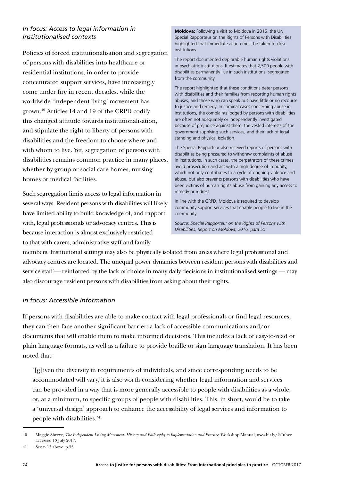#### *In focus: Access to legal information in institutionalised contexts*

Policies of forced institutionalisation and segregation of persons with disabilities into healthcare or residential institutions, in order to provide concentrated support services, have increasingly come under fire in recent decades, while the worldwide 'independent living' movement has grown.40 Articles 14 and 19 of the CRPD codify this changed attitude towards institutionalisation, and stipulate the right to liberty of persons with disabilities and the freedom to choose where and with whom to live. Yet, segregation of persons with disabilities remains common practice in many places, whether by group or social care homes, nursing homes or medical facilities.

Such segregation limits access to legal information in several ways. Resident persons with disabilities will likely have limited ability to build knowledge of, and rapport with, legal professionals or advocacy centres. This is because interaction is almost exclusively restricted to that with carers, administrative staff and family

**Moldova:** Following a visit to Moldova in 2015, the UN Special Rapporteur on the Rights of Persons with Disabilities highlighted that immediate action must be taken to close institutions.

The report documented deplorable human rights violations in psychiatric institutions. It estimates that 2,500 people with disabilities permanently live in such institutions, segregated from the community.

The report highlighted that these conditions deter persons with disabilities and their families from reporting human rights abuses, and those who can speak out have little or no recourse to justice and remedy. In criminal cases concerning abuse in institutions, the complaints lodged by persons with disabilities are often not adequately or independently investigated because of prejudice against them, the vested interests of the government supplying such services, and their lack of legal standing and physical isolation.

The Special Rapporteur also received reports of persons with disabilities being pressured to withdraw complaints of abuse in institutions. In such cases, the perpetrators of these crimes avoid prosecution and act with a high degree of impunity, which not only contributes to a cycle of ongoing violence and abuse, but also prevents persons with disabilities who have been victims of human rights abuse from gaining any access to remedy or redress.

In line with the CRPD, Moldova is required to develop community support services that enable people to live in the community.

*Source: Special Rapporteur on the Rights of Persons with Disabilities, Report on Moldova, 2016, para 55.*

members. Institutional settings may also be physically isolated from areas where legal professional and advocacy centres are located. The unequal power dynamics between resident persons with disabilities and service staff — reinforced by the lack of choice in many daily decisions in institutionalised settings — may also discourage resident persons with disabilities from asking about their rights.

#### *In focus: Accessible information*

If persons with disabilities are able to make contact with legal professionals or find legal resources, they can then face another significant barrier: a lack of accessible communications and/or documents that will enable them to make informed decisions. This includes a lack of easy-to-read or plain language formats, as well as a failure to provide braille or sign language translation. It has been noted that:

'[g]iven the diversity in requirements of individuals, and since corresponding needs to be accommodated will vary, it is also worth considering whether legal information and services can be provided in a way that is more generally accessible to people with disabilities as a whole, or, at a minimum, to specific groups of people with disabilities. This, in short, would be to take a 'universal design' approach to enhance the accessibility of legal services and information to people with disabilities.'41

<sup>40</sup> Maggie Shreve, *The Independent Living Movement: History and Philosophy to Implementation and Practice*, Workshop Manual, www.bit.ly/2sIuhce accessed 13 July 2017.

<sup>41</sup> See n 13 above, p 55.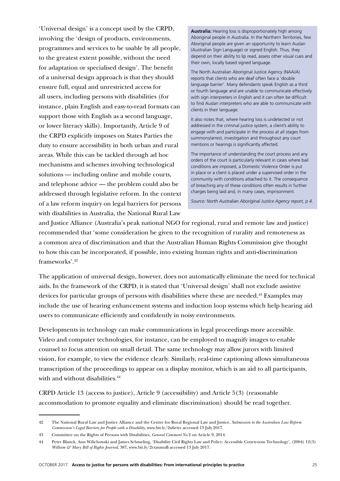'Universal design' is a concept used by the CRPD, involving the 'design of products, environments, programmes and services to be usable by all people, to the greatest extent possible, without the need for adaptation or specialised design'. The benefit of a universal design approach is that they should ensure full, equal and unrestricted access for all users, including persons with disabilities (for instance, plain English and easy-to-read formats can support those with English as a second language, or lower literacy skills). Importantly, Article 9 of the CRPD explicitly imposes on States Parties the duty to ensure accessibility in both urban and rural areas. While this can be tackled through ad hoc mechanisms and schemes involving technological solutions — including online and mobile courts, and telephone advice — the problem could also be addressed through legislative reform. In the context of a law reform inquiry on legal barriers for persons with disabilities in Australia, the National Rural Law

**Australia:** Hearing loss is disproportionately high among Aboriginal people in Australia. In the Northern Territories, few Aboriginal people are given an opportunity to learn Auslan (Australian Sign Language) or signed English. Thus, they depend on their ability to lip read, assess other visual cues and their own, locally based signed language.

The North Australian Aboriginal Justice Agency (NAAJA) reports that clients who are deaf often face a 'double language barrier'. Many defendants speak English as a third or fourth language and are unable to communicate effectively with sign interpreters in English and it can often be difficult to find Auslan interpreters who are able to communicate with clients in their language.

It also notes that, where hearing loss is undetected or not addressed in the criminal justice system, a client's ability to engage with and participate in the process at all stages from summons/arrest, investigation and throughout any court mentions or hearings is significantly affected.

The importance of understanding the court process and any orders of the court is particularly relevant in cases where bail conditions are imposed, a Domestic Violence Order is put in place or a client is placed under a supervised order in the community with conditions attached to it. The consequence of breaching any of these conditions often results in further charges being laid and, in many cases, imprisonment.

*Source: North Australian Aboriginal Justice Agency report, p 4.*

and Justice Alliance (Australia's peak national NGO for regional, rural and remote law and justice) recommended that 'some consideration be given to the recognition of rurality and remoteness as a common area of discrimination and that the Australian Human Rights Commission give thought to how this can be incorporated, if possible, into existing human rights and anti-discrimination frameworks'  $42$ 

The application of universal design, however, does not automatically eliminate the need for technical aids. In the framework of the CRPD, it is stated that 'Universal design' shall not exclude assistive devices for particular groups of persons with disabilities where these are needed.<sup>43</sup> Examples may include the use of hearing enhancement systems and induction loop systems which help hearing aid users to communicate efficiently and confidently in noisy environments.

Developments in technology can make communications in legal proceedings more accessible. Video and computer technologies, for instance, can be employed to magnify images to enable counsel to focus attention on small detail. The same technology may allow jurors with limited vision, for example, to view the evidence clearly. Similarly, real-time captioning allows simultaneous transcription of the proceedings to appear on a display monitor, which is an aid to all participants, with and without disabilities.<sup>44</sup>

CRPD Article 13 (access to justice), Article 9 (accessibility) and Article 5(3) (reasonable accommodation to promote equality and eliminate discrimination) should be read together.

<sup>42</sup> The National Rural Law and Justice Alliance and the Centre for Rural Regional Law and Justice, *Submission to the Australian Law Reform Commission's Legal Barriers for People with a Disability*, www.bit.ly/2u6etyv accessed 13 July 2017.

<sup>43</sup> Committee on the Rights of Persons with Disabilities, *General Comment No* 2 on Article 9, 2014.

<sup>44</sup> Peter Blanck, Ann Wilichowski and James Schmeling, 'Disability Civil Rights Law and Policy: Accessible Courtroom Technology', (2004) 12(3) *William & Mary Bill of Rights Journal*, 387, www.bit.ly/2rxmmuB accessed 13 July 2017.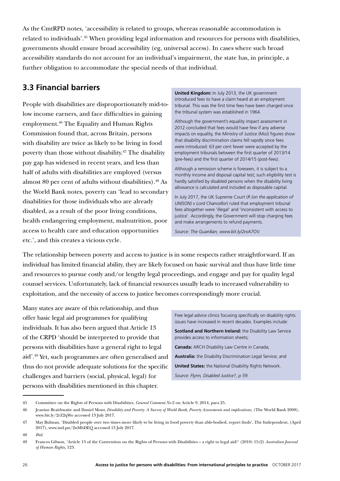As the CmtRPD notes, 'accessibility is related to groups, whereas reasonable accommodation is related to individuals'.45 When providing legal information and resources for persons with disabilities, governments should ensure broad accessibility (eg, universal access). In cases where such broad accessibility standards do not account for an individual's impairment, the state has, in principle, a further obligation to accommodate the special needs of that individual.

## **3.3 Financial barriers**

People with disabilities are disproportionately mid-tolow income earners, and face difficulties in gaining employment.46 The Equality and Human Rights Commission found that, across Britain, persons with disability are twice as likely to be living in food poverty than those without disability.<sup>47</sup> The disability pay gap has widened in recent years, and less than half of adults with disabilities are employed (versus almost 80 per cent of adults without disabilities).<sup>48</sup> As the World Bank notes, poverty can 'lead to secondary disabilities for those individuals who are already disabled, as a result of the poor living conditions, health endangering employment, malnutrition, poor access to health care and education opportunities etc.', and this creates a vicious cycle.

**United Kingdom:** In July 2013, the UK government introduced fees to have a claim heard at an employment tribunal. This was the first time fees have been charged since the tribunal system was established in 1964.

Although the government's equality impact assessment in 2012 concluded that fees would have few if any adverse impacts on equality, the Ministry of Justice (MoJ) figures show that disability discrimination claims fell rapidly since fees were introduced: 63 per cent fewer were accepted by the employment tribunals between the first quarter of 2013/14 (pre-fees) and the first quarter of 2014/15 (post-fees).

Although a remission scheme is foreseen, it is subject to a monthly income and disposal capital test; such eligibility test is hardly satisfied by disabled persons when the disability living allowance is calculated and included as disposable capital.

In July 2017, the UK Supreme Court (*R (on the application of UNISON) v Lord Chancellor*) ruled that employment tribunal fees altogether were 'illegal' and 'inconsistent with access to justice'. Accordingly, the Government will stop charging fees and make arrangements to refund payments.

*Source: The Guardian, www.bit.ly/2rxA7OV.* 

The relationship between poverty and access to justice is in some respects rather straightforward. If an individual has limited financial ability, they are likely focused on basic survival and thus have little time and resources to pursue costly and/or lengthy legal proceedings, and engage and pay for quality legal counsel services. Unfortunately, lack of financial resources usually leads to increased vulnerability to exploitation, and the necessity of access to justice becomes correspondingly more crucial.

Many states are aware of this relationship, and thus offer basic legal aid programmes for qualifying individuals. It has also been argued that Article 13 of the CRPD 'should be interpreted to provide that persons with disabilities have a general right to legal aid'.49 Yet, such programmes are often generalised and thus do not provide adequate solutions for the specific challenges and barriers (social, physical, legal) for persons with disabilities mentioned in this chapter.

Free legal advice clinics focusing specifically on disability rights issues have increased in recent decades. Examples include:

**Scotland and Northern Ireland:** the Disability Law Service provides access to information sheets;

**Canada:** ARCH Disability Law Centre in Canada;

**Australia:** the Disability Discrimination Legal Service; and

**United States:** the National Disability Rights Network.

*Source: Flynn, Disabled Justice?, p 59.*

<sup>45</sup> Committee on the Rights of Persons with Disabilities, *General Comment No* 2 on Article 9, 2014, para 25.

<sup>46</sup> Jeanine Braithwaite and Daniel Mont, *Disability and Poverty: A Survey of World Bank, Poverty Assessments and implications*, (The World Bank 2008), www.bit.ly/2rZ2qWo accessed 13 July 2017.

<sup>47</sup> May Bulman, 'Disabled people over two times more likely to be living in food poverty than able-bodied, report finds', The Independent, (April 2017), www.ind.pn/2nMhDEQ accessed 13 July 2017.

<sup>48</sup> *Ibid.*

<sup>49</sup> Frances Gibson, 'Article 13 of the Convention on the Rights of Persons with Disabilities – a right to legal aid?' (2010) 15(2) *Australian Journal of Human Rights,* 123.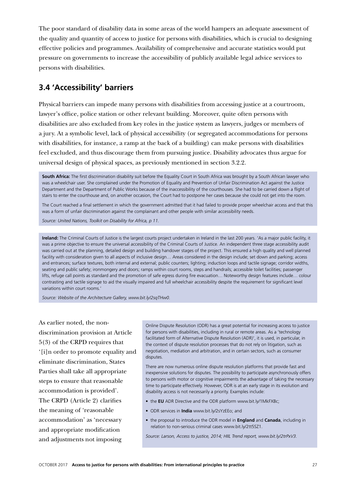The poor standard of disability data in some areas of the world hampers an adequate assessment of the quality and quantity of access to justice for persons with disabilities, which is crucial to designing effective policies and programmes. Availability of comprehensive and accurate statistics would put pressure on governments to increase the accessibility of publicly available legal advice services to persons with disabilities.

### **3.4 'Accessibility' barriers**

Physical barriers can impede many persons with disabilities from accessing justice at a courtroom, lawyer's office, police station or other relevant building. Moreover, quite often persons with disabilities are also excluded from key roles in the justice system as lawyers, judges or members of a jury. At a symbolic level, lack of physical accessibility (or segregated accommodations for persons with disabilities, for instance, a ramp at the back of a building) can make persons with disabilities feel excluded, and thus discourage them from pursuing justice. Disability advocates thus argue for universal design of physical spaces, as previously mentioned in section 3.2.2.

**South Africa:** The first discrimination disability suit before the Equality Court in South Africa was brought by a South African lawyer who was a wheelchair user. She complained under the Promotion of Equality and Prevention of Unfair Discrimination Act against the Justice Department and the Department of Public Works because of the inaccessibility of the courthouses. She had to be carried down a flight of stairs to enter the courthouse and, on another occasion, the Court had to postpone her cases because she could not get into the room.

The Court reached a final settlement in which the government admitted that it had failed to provide proper wheelchair access and that this was a form of unfair discrimination against the complainant and other people with similar accessibility needs.

*Source: United Nations, Toolkit on Disability for Africa, p 11.*

**Ireland:** The Criminal Courts of Justice is the largest courts project undertaken in Ireland in the last 200 years. 'As a major public facility, it was a prime objective to ensure the universal accessibility of the Criminal Courts of Justice. An independent three stage accessibility audit was carried out at the planning, detailed design and building handover stages of the project. This ensured a high quality and well planned facility with consideration given to all aspects of inclusive design… Areas considered in the design include; set down and parking; access and entrances; surface textures, both internal and external; public counters; lighting; induction loops and tactile signage; corridor widths, seating and public safety; ironmongery and doors; ramps within court rooms, steps and handrails; accessible toilet facilities; passenger lifts, refuge call points as standard and the promotion of safe egress during fire evacuation… Noteworthy design features include… colour contrasting and tactile signage to aid the visually impaired and full wheelchair accessibility despite the requirement for significant level variations within court rooms.'

*Source: Website of the Architecture Gallery, www.bit.ly/2sqTHw0.* 

As earlier noted, the nondiscrimination provision at Article 5(3) of the CRPD requires that '[i]n order to promote equality and eliminate discrimination, States Parties shall take all appropriate steps to ensure that reasonable accommodation is provided'. The CRPD (Article 2) clarifies the meaning of 'reasonable accommodation' as 'necessary and appropriate modification and adjustments not imposing

Online Dispute Resolution (ODR) has a great potential for increasing access to justice for persons with disabilities, including in rural or remote areas. As a 'technology facilitated form of Alternative Dispute Resolution (ADR)', it is used, in particular, in the context of dispute resolution processes that do not rely on litigation, such as negotiation, mediation and arbitration, and in certain sectors, such as consumer disputes.

There are now numerous online dispute resolution platforms that provide fast and inexpensive solutions for disputes. The possibility to participate asynchronously offers to persons with motor or cognitive impairments the advantage of taking the necessary time to participate effectively. However, ODR is at an early stage in its evolution and disability access is not necessarily a priority. Examples include:

- the **EU** ADR Directive and the ODR platform www.bit.ly/1MkFXBc;
- ODR services in **India** www.bit.ly/2sYzEEo; and
- the proposal to introduce the ODR model in **England** and **Canada**, including in relation to non-serious criminal cases www.bit.ly/2tt5SZ1.

*Source: Larson, Access to justice, 2014; HIIL Trend report, www.bit.ly/2trPxV3.*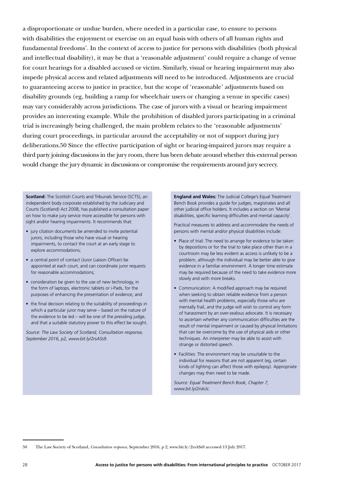a disproportionate or undue burden, where needed in a particular case, to ensure to persons with disabilities the enjoyment or exercise on an equal basis with others of all human rights and fundamental freedoms'. In the context of access to justice for persons with disabilities (both physical and intellectual disability), it may be that a 'reasonable adjustment' could require a change of venue for court hearings for a disabled accused or victim. Similarly, visual or hearing impairment may also impede physical access and related adjustments will need to be introduced. Adjustments are crucial to guaranteeing access to justice in practice, but the scope of 'reasonable' adjustments based on disability grounds (eg, building a ramp for wheelchair users or changing a venue in specific cases) may vary considerably across jurisdictions. The case of jurors with a visual or hearing impairment provides an interesting example. While the prohibition of disabled jurors participating in a criminal trial is increasingly being challenged, the main problem relates to the 'reasonable adjustments' during court proceedings, in particular around the acceptability or not of support during jury deliberations.50 Since the effective participation of sight or hearing-impaired jurors may require a third party joining discussions in the jury room, there has been debate around whether this external person would change the jury dynamic in discussions or compromise the requirements around jury secrecy.

**Scotland:** The Scottish Courts and Tribunals Service (SCTS), an independent body corporate established by the Judiciary and Courts (Scotland) Act 2008, has published a consultation paper on how to make jury service more accessible for persons with sight and/or hearing impairments. It recommends that:

- jury citation documents be amended to invite potential jurors, including those who have visual or hearing impairments, to contact the court at an early stage to explore accommodations;
- a central point of contact (Juror Liaison Officer) be appointed at each court, and can coordinate juror requests for reasonable accommodations;
- consideration be given to the use of new technology, in the form of laptops, electronic tablets or i-Pads, for the purposes of enhancing the presentation of evidence; and
- the final decision relating to the suitability of proceedings in which a particular juror may serve – based on the nature of the evidence to be led – will be one of the presiding judge, and that a suitable statutory power to this effect be sought.

*Source: The Law Society of Scotland, Consultation response, September 2016, p2, www.bit.ly/2rsASs9.*

**England and Wales:** The Judicial College's Equal Treatment Bench Book provides a guide for judges, magistrates and all other judicial office holders. It includes a section on 'Mental disabilities, specific learning difficulties and mental capacity'.

Practical measures to address and accommodate the needs of persons with mental and/or physical disabilities include:

- Place of trial: The need to arrange for evidence to be taken by depositions or for the trial to take place other than in a courtroom may be less evident as access is unlikely to be a problem, although the individual may be better able to give evidence in a familiar environment. A longer time estimate may be required because of the need to take evidence more slowly and with more breaks.
- Communication: A modified approach may be required when seeking to obtain reliable evidence from a person with mental health problems, especially those who are mentally frail, and the judge will wish to control any form of harassment by an over-zealous advocate. It is necessary to ascertain whether any communication difficulties are the result of mental impairment or caused by physical limitations that can be overcome by the use of physical aids or other techniques. An interpreter may be able to assist with strange or distorted speech.
- Facilities: The environment may be unsuitable to the individual for reasons that are not apparent (eg, certain kinds of lighting can affect those with epilepsy). Appropriate changes may then need to be made.

*Source: Equal Treatment Bench Book, Chapter 7, www.bit.ly/2rskiJc.*

<sup>50</sup> The Law Society of Scotland, *Consultation response*, September 2016, p 2, www.bit.ly/2rsASs9 accessed 13 July 2017.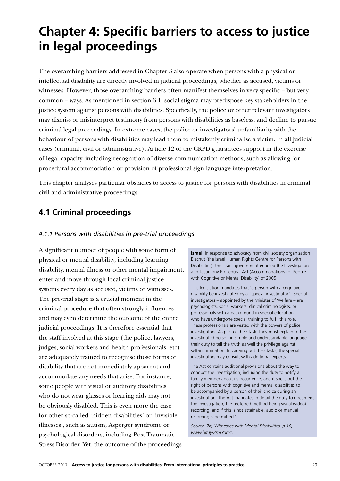## **Chapter 4: Specific barriers to access to justice in legal proceedings**

The overarching barriers addressed in Chapter 3 also operate when persons with a physical or intellectual disability are directly involved in judicial proceedings, whether as accused, victims or witnesses. However, those overarching barriers often manifest themselves in very specific – but very common – ways. As mentioned in section 3.1, social stigma may predispose key stakeholders in the justice system against persons with disabilities. Specifically, the police or other relevant investigators may dismiss or misinterpret testimony from persons with disabilities as baseless, and decline to pursue criminal legal proceedings. In extreme cases, the police or investigators' unfamiliarity with the behaviour of persons with disabilities may lead them to mistakenly criminalise a victim. In all judicial cases (criminal, civil or administrative), Article 12 of the CRPD guarantees support in the exercise of legal capacity, including recognition of diverse communication methods, such as allowing for procedural accommodation or provision of professional sign language interpretation.

This chapter analyses particular obstacles to access to justice for persons with disabilities in criminal, civil and administrative proceedings.

### **4.1 Criminal proceedings**

#### *4.1.1 Persons with disabilities in pre-trial proceedings*

A significant number of people with some form of physical or mental disability, including learning disability, mental illness or other mental impairment, enter and move through local criminal justice systems every day as accused, victims or witnesses. The pre-trial stage is a crucial moment in the criminal procedure that often strongly influences and may even determine the outcome of the entire judicial proceedings. It is therefore essential that the staff involved at this stage (the police, lawyers, judges, social workers and health professionals, etc) are adequately trained to recognise those forms of disability that are not immediately apparent and accommodate any needs that arise. For instance, some people with visual or auditory disabilities who do not wear glasses or hearing aids may not be obviously disabled. This is even more the case for other so-called 'hidden disabilities' or 'invisible illnesses', such as autism, Asperger syndrome or psychological disorders, including Post-Traumatic Stress Disorder. Yet, the outcome of the proceedings

**Israel:** In response to advocacy from civil society organisation Bizchut (the Israel Human Rights Centre for Persons with Disabilities), the Israeli government enacted the Investigation and Testimony Procedural Act (Accommodations for People with Cognitive or Mental Disability) of 2005.

This legislation mandates that 'a person with a cognitive disability be investigated by a "special investigator". Special investigators – appointed by the Minister of Welfare – are psychologists, social workers, clinical criminologists, or professionals with a background in special education, who have undergone special training to fulfil this role. These professionals are vested with the powers of police investigators. As part of their task, they must explain to the investigated person in simple and understandable language their duty to tell the truth as well the privilege against self-incrimination. In carrying out their tasks, the special investigators may consult with additional experts.

The Act contains additional provisions about the way to conduct the investigation, including the duty to notify a family member about its occurrence, and it spells out the right of persons with cognitive and mental disabilities to be accompanied by a person of their choice during an investigation. The Act mandates in detail the duty to document the investigation, the preferred method being visual (video) recording, and if this is not attainable, audio or manual recording is permitted.'

*Source: Ziv, Witnesses with Mental Disabilities, p 10, www.bit.ly/2rmYomz.*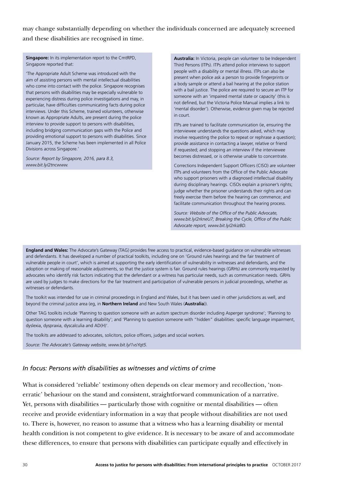may change substantially depending on whether the individuals concerned are adequately screened and these disabilities are recognised in time.

**Singapore:** In its implementation report to the CmtRPD, Singapore reported that:

'The Appropriate Adult Scheme was introduced with the aim of assisting persons with mental intellectual disabilities who come into contact with the police. Singapore recognises that persons with disabilities may be especially vulnerable to experiencing distress during police investigations and may, in particular, have difficulties communicating facts during police interviews. Under this Scheme, trained volunteers, otherwise known as Appropriate Adults, are present during the police interview to provide support to persons with disabilities, including bridging communication gaps with the Police and providing emotional support to persons with disabilities. Since January 2015, the Scheme has been implemented in all Police Divisions across Singapore.'

*Source: Report by Singapore, 2016, para 8.3, www.bit.ly/2tncwww.*

**Australia:** In Victoria, people can volunteer to be Independent Third Persons (ITPs). ITPs attend police interviews to support people with a disability or mental illness. ITPs can also be present when police ask a person to provide fingerprints or a body sample or attend a bail hearing at the police station with a bail justice. The police are required to secure an ITP for someone with an 'impaired mental state or capacity' (this is not defined, but the Victoria Police Manual implies a link to 'mental disorder'). Otherwise, evidence given may be rejected in court.

ITPs are trained to facilitate communication (ie, ensuring the interviewee understands the questions asked, which may involve requesting the police to repeat or rephrase a question); provide assistance in contacting a lawyer, relative or friend if requested; and stopping an interview if the interviewee becomes distressed, or is otherwise unable to concentrate.

Corrections Independent Support Officers (CISO) are volunteer ITPs and volunteers from the Office of the Public Advocate who support prisoners with a diagnosed intellectual disability during disciplinary hearings. CISOs explain a prisoner's rights; judge whether the prisoner understands their rights and can freely exercise them before the hearing can commence; and facilitate communication throughout the hearing process.

*Source: Website of the Office of the Public Advocate, www.bit.ly/2rkneU7; Breaking the Cycle, Office of the Public Advocate report, www.bit.ly/2rkizBD.* 

**England and Wales:** The Advocate's Gateway (TAG) provides free access to practical, evidence-based guidance on vulnerable witnesses and defendants. It has developed a number of practical toolkits, including one on 'Ground rules hearings and the fair treatment of vulnerable people in court', which is aimed at supporting the early identification of vulnerability in witnesses and defendants, and the adoption or making of reasonable adjustments, so that the justice system is fair. Ground rules hearings (GRHs) are commonly requested by advocates who identify risk factors indicating that the defendant or a witness has particular needs, such as communication needs. GRHs are used by judges to make directions for the fair treatment and participation of vulnerable persons in judicial proceedings, whether as witnesses or defendants.

The toolkit was intended for use in criminal proceedings in England and Wales, but it has been used in other jurisdictions as well, and beyond the criminal justice area (eg, in **Northern Ireland** and New South Wales (**Australia**)).

Other TAG toolkits include 'Planning to question someone with an autism spectrum disorder including Asperger syndrome'; 'Planning to question someone with a learning disability'; and 'Planning to question someone with "hidden" disabilities: specific language impairment, dyslexia, dyspraxia, dyscalculia and AD(H)'.

The toolkits are addressed to advocates, solicitors, police officers, judges and social workers.

*Source: The Advocate's Gateway website, www.bit.ly/1vsYqt5.*

#### *In focus: Persons with disabilities as witnesses and victims of crime*

What is considered 'reliable' testimony often depends on clear memory and recollection, 'nonerratic' behaviour on the stand and consistent, straightforward communication of a narrative. Yet, persons with disabilities — particularly those with cognitive or mental disabilities — often receive and provide evidentiary information in a way that people without disabilities are not used to. There is, however, no reason to assume that a witness who has a learning disability or mental health condition is not competent to give evidence. It is necessary to be aware of and accommodate these differences, to ensure that persons with disabilities can participate equally and effectively in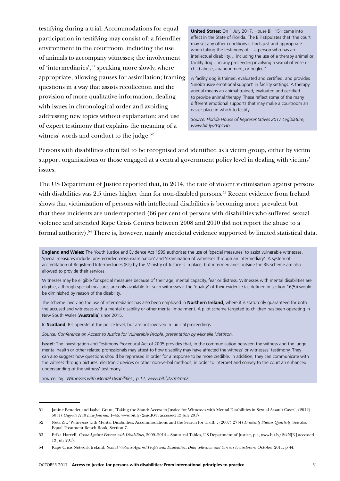testifying during a trial. Accommodations for equal participation in testifying may consist of: a friendlier environment in the courtroom, including the use of animals to accompany witnesses; the involvement of 'intermediaries',<sup>51</sup> speaking more slowly, where appropriate, allowing pauses for assimilation; framing questions in a way that assists recollection and the provision of more qualitative information, dealing with issues in chronological order and avoiding addressing new topics without explanation; and use of expert testimony that explains the meaning of a witness' words and conduct to the judge.<sup>52</sup>

**United States:** On 1 July 2017, House Bill 151 came into effect in the State of Florida. The Bill stipulates that 'the court may set any other conditions it finds just and appropriate when taking the testimony of… a person who has an intellectual disability… including the use of a therapy animal or facility dog… in any proceeding involving a sexual offense or child abuse, abandonment, or neglect'.

A facility dog is trained, evaluated and certified, and provides 'unobtrusive emotional support' in facility settings. A therapy animal means an animal trained, evaluated and certified to provide animal therapy. These reflect some of the many different emotional supports that may make a courtroom an easier place in which to testify.

*Source: Florida House of Representatives 2017 Legislature, www.bit.ly/2tsp1Hb.*

Persons with disabilities often fail to be recognised and identified as a victim group, either by victim support organisations or those engaged at a central government policy level in dealing with victims' issues.

The US Department of Justice reported that, in 2014, the rate of violent victimisation against persons with disabilities was 2.5 times higher than for non-disabled persons.<sup>53</sup> Recent evidence from Ireland shows that victimisation of persons with intellectual disabilities is becoming more prevalent but that these incidents are underreported (66 per cent of persons with disabilities who suffered sexual violence and attended Rape Crisis Centres between 2008 and 2010 did not report the abuse to a formal authority).54 There is, however, mainly anecdotal evidence supported by limited statistical data.

**England and Wales:** The Youth Justice and Evidence Act 1999 authorises the use of 'special measures' to assist vulnerable witnesses. Special measures include 'pre-recorded cross-examination' and 'examination of witnesses through an intermediary'. A system of accreditation of Registered Intermediaries (RIs) by the Ministry of Justice is in place, but intermediaries outside the RIs scheme are also allowed to provide their services.

Witnesses may be eligible for special measures because of their age, mental capacity, fear or distress. Witnesses with mental disabilities are eligible, although special measures are only available for such witnesses if the 'quality' of their evidence (as defined in section 16(5)) would be diminished by reason of the disability.

The scheme involving the use of intermediaries has also been employed in **Northern Ireland**, where it is statutorily guaranteed for both the accused and witnesses with a mental disability or other mental impairment. A pilot scheme targeted to children has been operating in New South Wales (**Australia**) since 2015.

In **Scotland**, RIs operate at the police level, but are not involved in judicial proceedings.

*Source: Conference on Access to Justice for Vulnerable People, presentation by Michelle Mattison.*

**Israel:** The Investigation and Testimony Procedural Act of 2005 provides that, in the communication between the witness and the judge, mental health or other related professionals may attest to how disability may have affected the witness' or witnesses' testimony. They can also suggest how questions should be rephrased in order for a response to be more credible. In addition, they can communicate with the witness through pictures, electronic devices or other non-verbal methods, in order to interpret and convey to the court an enhanced understanding of the witness' testimony.

*Source: Ziv, 'Witnesses with Mental Disabilities', p 12, www.bit.ly/2rmYomz.* 

<sup>51</sup> Janine Benedet and Isabel Grant, 'Taking the Stand: Access to Justice for Witnesses with Mental Disabilities in Sexual Assault Cases', (2012) 50(1) *Osgoode Hall Law Journal*, 1–45, www.bit.ly/2sudRVn accessed 13 July 2017.

<sup>52</sup> Neta Ziv, 'Witnesses with Mental Disabilities: Accommodations and the Search for Truth', (2007) 27(4) *Disability Studies Quarterly*. See also Equal Treatment Bench Book, Section 7.

<sup>53</sup> Erika Harrell, *Crime Against Persons with Disabilities*, 2009–2014 – Statistical Tables, US Department of Justice, p 4, www.bit.ly/2skNJNJ accessed 13 July 2017.

<sup>54</sup> Rape Crisis Network Ireland, *Sexual Violence Against People with Disabilities: Data collection and barriers to disclosure,* October 2011, p 44.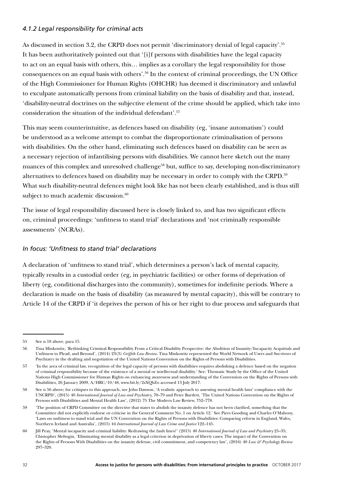#### *4.1.2 Legal responsibility for criminal acts*

As discussed in section 3.2, the CRPD does not permit 'discriminatory denial of legal capacity'.<sup>55</sup> It has been authoritatively pointed out that '[i]f persons with disabilities have the legal capacity to act on an equal basis with others, this… implies as a corollary the legal responsibility for those consequences on an equal basis with others'.56 In the context of criminal proceedings, the UN Office of the High Commissioner for Human Rights (OHCHR) has deemed it discriminatory and unlawful to exculpate automatically persons from criminal liability on the basis of disability and that, instead, 'disability-neutral doctrines on the subjective element of the crime should be applied, which take into consideration the situation of the individual defendant'.57

This may seem counterintuitive, as defences based on disability (eg, 'insane automatism') could be understood as a welcome attempt to combat the disproportionate criminalisation of persons with disabilities. On the other hand, eliminating such defences based on disability can be seen as a necessary rejection of infantilising persons with disabilities. We cannot here sketch out the many nuances of this complex and unresolved challenge<sup>58</sup> but, suffice to say, developing non-discriminatory alternatives to defences based on disability may be necessary in order to comply with the CRPD.<sup>59</sup> What such disability-neutral defences might look like has not been clearly established, and is thus still subject to much academic discussion.<sup>60</sup>

The issue of legal responsibility discussed here is closely linked to, and has two significant effects on, criminal proceedings: 'unfitness to stand trial' declarations and 'not criminally responsible assessments' (NCRAs).

#### *In focus: 'Unfitness to stand trial' declarations*

A declaration of 'unfitness to stand trial', which determines a person's lack of mental capacity, typically results in a custodial order (eg, in psychiatric facilities) or other forms of deprivation of liberty (eg, conditional discharges into the community), sometimes for indefinite periods. Where a declaration is made on the basis of disability (as measured by mental capacity), this will be contrary to Article 14 of the CRPD if 'it deprives the person of his or her right to due process and safeguards that

<sup>55</sup> See n 18 above, para 15.

<sup>56</sup> Tina Minkowitz, 'Rethinking Criminal Responsibility From a Critical Disability Perspective: the Abolition of Insanity/Incapacity Acquittals and Unfitness to Plead, and Beyond', (2014) 23(3) *Griffith Law Review*. Tina Minkowitz represented the World Network of Users and Survivors of Psychiatry in the drafting and negotiation of the United Nations Convention on the Rights of Persons with Disabilities.

<sup>57</sup> 'In the area of criminal law, recognition of the legal capacity of persons with disabilities requires abolishing a defence based on the negation of criminal responsibility because of the existence of a mental or intellectual disability.' See: Thematic Study by the Office of the United Nations High Commissioner for Human Rights on enhancing awareness and understanding of the Convention on the Rights of Persons with Disabilities, 26 January 2009, A/HRC/10/48, www.bit.ly/2sXQbZo accessed 13 July 2017.

<sup>58</sup> See n 56 above; for critiques to this approach, see John Dawson, 'A realistic approach to assessing mental health laws' compliance with the UNCRPD', (2015) 40 *International Journal of Law and Psychiatry*, 70–79 and Peter Bartlett, 'The United Nations Convention on the Rights of Persons with Disabilities and Mental Health Law', (2012) 75 The Modern Law Review, 752–778.

<sup>59</sup> 'The position of CRPD Committee on the directive that states to abolish the insanity defence has not been clarified, something that the Committee did not explicitly endorse or criticise in the General Comment No. 1 on Article 12.' See Piers Gooding and Charles O'Mahony, 'Laws on unfitness to stand trial and the UN Convention on the Rights of Persons with Disabilities: Comparing reform in England, Wales, Northern Ireland and Australia', (2015) 44 *International Journal of Law Crime and Justice* 122–145.

<sup>60</sup> Jill Peay, 'Mental incapacity and criminal liability: Redrawing the fault lines?' (2015) 40 *International Journal of Law and Psychiatry* 25–35; Chistopher Slobogin, 'Eliminating mental disability as a legal criterion in deprivation of liberty cases: The impact of the Convention on the Rights of Persons With Disabilities on the insanity defense, civil commitment, and competency law', (2016) 40 *Law & Psychology Review* 297–320.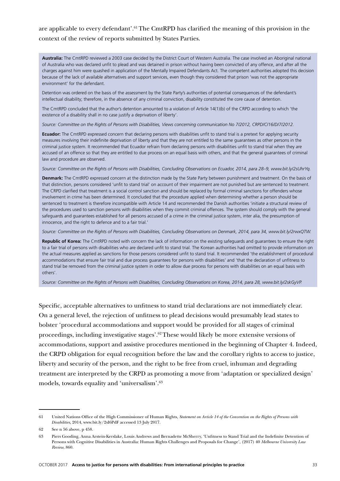### are applicable to every defendant'.<sup>61</sup> The CmtRPD has clarified the meaning of this provision in the context of the review of reports submitted by States Parties.

**Australia:** The CmtRPD reviewed a 2003 case decided by the District Court of Western Australia. The case involved an Aboriginal national of Australia who was declared unfit to plead and was detained in prison without having been convicted of any offence, and after all the charges against him were quashed in application of the Mentally Impaired Defendants Act. The competent authorities adopted this decision because of the lack of available alternatives and support services, even though they considered that prison 'was not the appropriate environment' for the defendant.

Detention was ordered on the basis of the assessment by the State Party's authorities of potential consequences of the defendant's intellectual disability; therefore, in the absence of any criminal conviction, disability constituted the core cause of detention.

The CmtRPD concluded that the author's detention amounted to a violation of Article 14(1)(b) of the CRPD according to which 'the existence of a disability shall in no case justify a deprivation of liberty'.

*Source: Committee on the Rights of Persons with Disabilities, Views concerning communication No 7/2012, CRPD/C/16/D/7/2012.*

**Ecuador:** The CmtRPD expressed concern that declaring persons with disabilities unfit to stand trial is a pretext for applying security measures involving their indefinite deprivation of liberty and that they are not entitled to the same guarantees as other persons in the criminal justice system. It recommended that Ecuador refrain from declaring persons with disabilities unfit to stand trial when they are accused of an offence so that they are entitled to due process on an equal basis with others, and that the general guarantees of criminal law and procedure are observed.

*Source: Committee on the Rights of Persons with Disabilities, Concluding Observations on Ecuador, 2014, para 28–9, www.bit.ly/2sUhrYq.*

**Denmark:** The CmtRPD expressed concern at the distinction made by the State Party between punishment and treatment. On the basis of that distinction, persons considered 'unfit to stand trial' on account of their impairment are not punished but are sentenced to treatment. The CRPD clarified that treatment is a social control sanction and should be replaced by formal criminal sanctions for offenders whose involvement in crime has been determined. It concluded that the procedure applied when determining whether a person should be sentenced to treatment is therefore incompatible with Article 14 and recommended the Danish authorities 'initiate a structural review of the procedures used to sanction persons with disabilities when they commit criminal offences. The system should comply with the general safeguards and guarantees established for all persons accused of a crime in the criminal justice system, inter alia, the presumption of innocence, and the right to defence and to a fair trial.'

*Source: Committee on the Rights of Persons with Disabilities, Concluding Observations on Denmark, 2014, para 34, www.bit.ly/2rwxQTW.*

**Republic of Korea:** The CmtRPD noted with concern the lack of information on the existing safeguards and guarantees to ensure the right to a fair trial of persons with disabilities who are declared unfit to stand trial. The Korean authorities had omitted to provide information on the actual measures applied as sanctions for those persons considered unfit to stand trial. It recommended 'the establishment of procedural accommodations that ensure fair trial and due process guarantees for persons with disabilities' and 'that the declaration of unfitness to stand trial be removed from the criminal justice system in order to allow due process for persons with disabilities on an equal basis with others'.

*Source: Committee on the Rights of Persons with Disabilities, Concluding Observations on Korea, 2014, para 28, www.bit.ly/2skGyVP.*

Specific, acceptable alternatives to unfitness to stand trial declarations are not immediately clear. On a general level, the rejection of unfitness to plead decisions would presumably lead states to bolster 'procedural accommodations and support would be provided for all stages of criminal proceedings, including investigative stages'.62 These would likely be more extensive versions of accommodations, support and assistive procedures mentioned in the beginning of Chapter 4. Indeed, the CRPD obligation for equal recognition before the law and the corollary rights to access to justice, liberty and security of the person, and the right to be free from cruel, inhuman and degrading treatment are interpreted by the CRPD as promoting a move from 'adaptation or specialized design' models, towards equality and 'universalism'.63

<sup>61</sup> United Nations Office of the High Commissioner of Human Rights, *Statement on Article 14 of the Convention on the Rights of Persons with Disabilities*, 2014, www.bit.ly/2sI6PdF accessed 13 July 2017.

<sup>62</sup> See n 56 above, p 458.

<sup>63</sup> Piers Gooding, Anna Arstein-Kerslake, Louis Andrews and Bernadette McSherry, 'Unfitness to Stand Trial and the Indefinite Detention of Persons with Cognitive Disabilities in Australia: Human Rights Challenges and Proposals for Change', (2017) 40 *Melbourne University Law Review*, 860.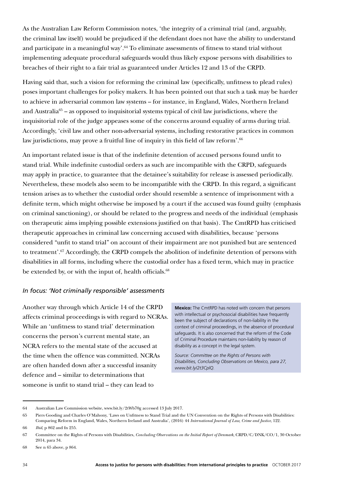As the Australian Law Reform Commission notes, 'the integrity of a criminal trial (and, arguably, the criminal law itself) would be prejudiced if the defendant does not have the ability to understand and participate in a meaningful way'.<sup>64</sup> To eliminate assessments of fitness to stand trial without implementing adequate procedural safeguards would thus likely expose persons with disabilities to breaches of their right to a fair trial as guaranteed under Articles 12 and 13 of the CRPD.

Having said that, such a vision for reforming the criminal law (specifically, unfitness to plead rules) poses important challenges for policy makers. It has been pointed out that such a task may be harder to achieve in adversarial common law systems – for instance, in England, Wales, Northern Ireland and Australia<sup>65</sup> – as opposed to inquisitorial systems typical of civil law jurisdictions, where the inquisitorial role of the judge appeases some of the concerns around equality of arms during trial. Accordingly, 'civil law and other non-adversarial systems, including restorative practices in common law jurisdictions, may prove a fruitful line of inquiry in this field of law reform'.<sup>66</sup>

An important related issue is that of the indefinite detention of accused persons found unfit to stand trial. While indefinite custodial orders as such are incompatible with the CRPD, safeguards may apply in practice, to guarantee that the detainee's suitability for release is assessed periodically. Nevertheless, these models also seem to be incompatible with the CRPD. In this regard, a significant tension arises as to whether the custodial order should resemble a sentence of imprisonment with a definite term, which might otherwise be imposed by a court if the accused was found guilty (emphasis on criminal sanctioning), or should be related to the progress and needs of the individual (emphasis on therapeutic aims implying possible extensions justified on that basis). The CmtRPD has criticised therapeutic approaches in criminal law concerning accused with disabilities, because 'persons considered "unfit to stand trial" on account of their impairment are not punished but are sentenced to treatment'.67 Accordingly, the CRPD compels the abolition of indefinite detention of persons with disabilities in all forms, including where the custodial order has a fixed term, which may in practice be extended by, or with the input of, health officials.<sup>68</sup>

#### *In focus: 'Not criminally responsible' assessments*

Another way through which Article 14 of the CRPD affects criminal proceedings is with regard to NCRAs. While an 'unfitness to stand trial' determination concerns the person's current mental state, an NCRA refers to the mental state of the accused at the time when the offence was committed. NCRAs are often handed down after a successful insanity defence and – similar to determinations that someone is unfit to stand trial – they can lead to

**Mexico:** The CmtRPD has noted with concern that persons with intellectual or psychosocial disabilities have frequently been the subject of declarations of non-liability in the context of criminal proceedings, in the absence of procedural safeguards. It is also concerned that the reform of the Code of Criminal Procedure maintains non-liability by reason of disability as a concept in the legal system.

*Source: Committee on the Rights of Persons with Disabilities, Concluding Observations on Mexico, para 27, www.bit.ly/2t3CplQ.*

<sup>64</sup> Australian Law Commission website, www.bit.ly/2tWb70g accessed 13 July 2017.

<sup>65</sup> Piers Gooding and Charles O'Mahony, 'Laws on Unfitness to Stand Trial and the UN Convention on the Rights of Persons with Disabilities: Comparing Reform in England, Wales, Northern Ireland and Australia', (2016) 44 *International Journal of Law, Crime and Justice*, 122.

<sup>66</sup> *Ibid*, p 862 and fn 255.

<sup>67</sup> Committee on the Rights of Persons with Disabilities, *Concluding Observations on the Initial Report of Denmark*, CRPD/C/DNK/CO/1, 30 October 2014, para 34.

<sup>68</sup> See n 65 above, p 864.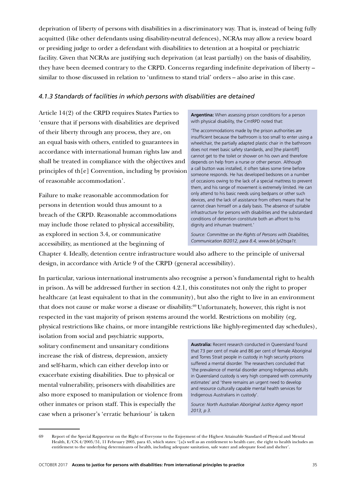deprivation of liberty of persons with disabilities in a discriminatory way. That is, instead of being fully acquitted (like other defendants using disability-neutral defences), NCRAs may allow a review board or presiding judge to order a defendant with disabilities to detention at a hospital or psychiatric facility. Given that NCRAs are justifying such deprivation (at least partially) on the basis of disability, they have been deemed contrary to the CRPD. Concerns regarding indefinite deprivation of liberty – similar to those discussed in relation to 'unfitness to stand trial' orders – also arise in this case.

#### *4.1.3 Standards of facilities in which persons with disabilities are detained*

Article 14(2) of the CRPD requires States Parties to 'ensure that if persons with disabilities are deprived of their liberty through any process, they are, on an equal basis with others, entitled to guarantees in accordance with international human rights law and shall be treated in compliance with the objectives and principles of th[e] Convention, including by provision of reasonable accommodation'.

Failure to make reasonable accommodation for persons in detention would thus amount to a breach of the CRPD. Reasonable accommodations may include those related to physical accessibility, as explored in section 3.4, or communicative accessibility, as mentioned at the beginning of

**Argentina:** When assessing prison conditions for a person with physical disability, the CmtRPD noted that:

'The accommodations made by the prison authorities are insufficient because the bathroom is too small to enter using a wheelchair, the partially adapted plastic chair in the bathroom does not meet basic safety standards, and [the plaintiff] cannot get to the toilet or shower on his own and therefore depends on help from a nurse or other person. Although a call button was installed, it often takes some time before someone responds. He has developed bedsores on a number of occasions owing to the lack of a special mattress to prevent them, and his range of movement is extremely limited. He can only attend to his basic needs using bedpans or other such devices, and the lack of assistance from others means that he cannot clean himself on a daily basis. The absence of suitable infrastructure for persons with disabilities and the substandard conditions of detention constitute both an affront to his dignity and inhuman treatment.'

*Source: Committee on the Rights of Persons with Disabilities, Communication 8/2012, para 8.4, www.bit.ly/2tsqa1t.*

Chapter 4. Ideally, detention centre infrastructure would also adhere to the principle of universal design, in accordance with Article 9 of the CRPD (general accessibility).

In particular, various international instruments also recognise a person's fundamental right to health in prison. As will be addressed further in section 4.2.1, this constitutes not only the right to proper healthcare (at least equivalent to that in the community), but also the right to live in an environment that does not cause or make worse a disease or disability.69 Unfortunately, however, this right is not respected in the vast majority of prison systems around the world. Restrictions on mobility (eg, physical restrictions like chains, or more intangible restrictions like highly-regimented day schedules),

isolation from social and psychiatric supports, solitary confinement and unsanitary conditions increase the risk of distress, depression, anxiety and self-harm, which can either develop into or exacerbate existing disabilities. Due to physical or mental vulnerability, prisoners with disabilities are also more exposed to manipulation or violence from other inmates or prison staff. This is especially the case when a prisoner's 'erratic behaviour' is taken

**Australia:** Recent research conducted in Queensland found that 73 per cent of male and 86 per cent of female Aboriginal and Torres Strait people in custody in high security prisons suffered a mental disorder. The researchers concluded that 'the prevalence of mental disorder among Indigenous adults in Queensland custody is very high compared with community estimates' and 'there remains an urgent need to develop and resource culturally capable mental health services for Indigenous Australians in custody'.

*Source: North Australian Aboriginal Justice Agency report 2013, p 3.* 

<sup>69</sup> Report of the Special Rapporteur on the Right of Everyone to the Enjoyment of the Highest Attainable Standard of Physical and Mental Health, E/CN.4/2005/51, 11 February 2005, para 45, which states: '[a]s well as an entitlement to health care, the right to health includes an entitlement to the underlying determinants of health, including adequate sanitation, safe water and adequate food and shelter'.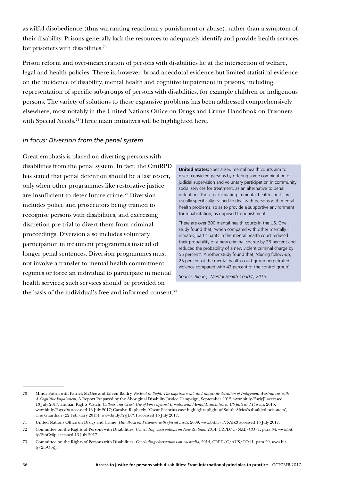as wilful disobedience (thus warranting reactionary punishment or abuse), rather than a symptom of their disability. Prisons generally lack the resources to adequately identify and provide health services for prisoners with disabilities.70

Prison reform and over-incarceration of persons with disabilities lie at the intersection of welfare, legal and health policies. There is, however, broad anecdotal evidence but limited statistical evidence on the incidence of disability, mental health and cognitive impairment in prisons, including representation of specific sub-groups of persons with disabilities, for example children or indigenous persons. The variety of solutions to these expansive problems has been addressed comprehensively elsewhere, most notably in the United Nations Office on Drugs and Crime Handbook on Prisoners with Special Needs.<sup>71</sup> Three main initiatives will be highlighted here.

#### *In focus: Diversion from the penal system*

Great emphasis is placed on diverting persons with disabilities from the penal system. In fact, the CmtRPD has stated that penal detention should be a last resort, only when other programmes like restorative justice are insufficient to deter future crime.72 Diversion includes police and prosecutors being trained to recognise persons with disabilities, and exercising discretion pre-trial to divert them from criminal proceedings. Diversion also includes voluntary participation in treatment programmes instead of longer penal sentences. Diversion programmes must not involve a transfer to mental health commitment regimes or force an individual to participate in mental health services; such services should be provided on the basis of the individual's free and informed consent.73

**United States:** Specialised mental health courts aim to divert convicted persons by offering some combination of judicial supervision and voluntary participation in community social services for treatment, as an alternative to penal detention. Those participating in mental health courts are usually specifically trained to deal with persons with mental health problems, so as to provide a supportive environment for rehabilitation, as opposed to punishment.

There are over 300 mental health courts in the US. One study found that, 'when compared with other mentally ill inmates, participants in the mental health court reduced their probability of a new criminal charge by 26 percent and reduced the probability of a new violent criminal charge by 55 percent'. Another study found that, 'during follow-up, 25 percent of the mental health court group perpetrated violence compared with 42 percent of the control group'.

*Source: Binder, 'Mental Health Courts', 2015.*

<sup>70</sup> Mindy Sotiri, with Patrick McGee and Eileen Baldry, *No End in Sight. The imprisonment, and indefinite detention of Indigenous Australians with A Cognitive Impairment*, A Report Prepared by the Aboriginal Disability Justice Campaign, September 2012, www.bit.ly/2sylyJI accessed 13 July 2017; Human Rights Watch, *Callous and Cruel: Use of Force against Inmates with Mental Disabilities in US Jails and Prisons*, 2015, www.bit.ly/2syrv9o accessed 13 July 2017; Carolyn Raphaely, 'Oscar Pistorius case highlights plight of South Africa's disabled prisoners', The Guardian (22 February 2013), www.bit.ly/2sJD7VI accessed 13 July 2017.

<sup>71</sup> United Nations Office on Drugs and Crime, *Handbook on Prisoners with special needs*, 2009, www.bit.ly/1VXYlZ3 accessed 13 July 2017.

<sup>72</sup> Committee on the Rights of Persons with Disabilities, *Concluding observations on New Zealand*, 2014, CRPD/C/NZL/CO/1, para 34, www.bit. ly/2toCy6p accessed 13 July 2017.

<sup>73</sup> Committee on the Rights of Persons with Disabilities, *Concluding observations on Australia*, 2014, CRPD/C/AUS/CO/1, para 29, www.bit. ly/2t5O6ZJ.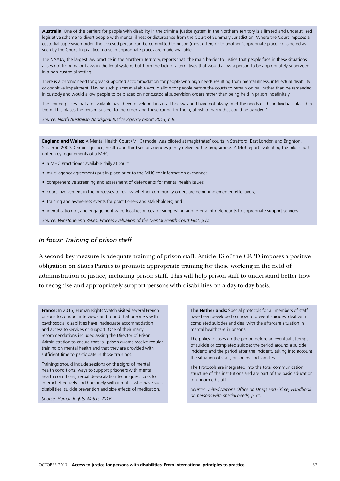**Australia:** One of the barriers for people with disability in the criminal justice system in the Northern Territory is a limited and underutilised legislative scheme to divert people with mental illness or disturbance from the Court of Summary Jurisdiction. Where the Court imposes a custodial supervision order, the accused person can be committed to prison (most often) or to another 'appropriate place' considered as such by the Court. In practice, no such appropriate places are made available.

The NAAJA, the largest law practice in the Northern Territory, reports that 'the main barrier to justice that people face in these situations arises not from major flaws in the legal system, but from the lack of alternatives that would allow a person to be appropriately supervised in a non-custodial setting.

There is a chronic need for great supported accommodation for people with high needs resulting from mental illness, intellectual disability or cognitive impairment. Having such places available would allow for people before the courts to remain on bail rather than be remanded in custody and would allow people to be placed on noncustodial supervision orders rather than being held in prison indefinitely.

The limited places that are available have been developed in an ad hoc way and have not always met the needs of the individuals placed in them. This places the person subject to the order, and those caring for them, at risk of harm that could be avoided.'

#### *Source: North Australian Aboriginal Justice Agency report 2013, p 8.*

**England and Wales:** A Mental Health Court (MHC) model was piloted at magistrates' courts in Stratford, East London and Brighton, Sussex in 2009. Criminal justice, health and third sector agencies jointly delivered the programme. A MoJ report evaluating the pilot courts noted key requirements of a MHC:

- a MHC Practitioner available daily at court;
- multi-agency agreements put in place prior to the MHC for information exchange:
- comprehensive screening and assessment of defendants for mental health issues;
- court involvement in the processes to review whether community orders are being implemented effectively;
- training and awareness events for practitioners and stakeholders; and
- identification of, and engagement with, local resources for signposting and referral of defendants to appropriate support services.

*Source: Winstone and Pakes, Process Evaluation of the Mental Health Court Pilot, p iv.*

#### *In focus: Training of prison staff*

A second key measure is adequate training of prison staff. Article 13 of the CRPD imposes a positive obligation on States Parties to promote appropriate training for those working in the field of administration of justice, including prison staff. This will help prison staff to understand better how to recognise and appropriately support persons with disabilities on a day-to-day basis.

**France:** In 2015, Human Rights Watch visited several French prisons to conduct interviews and found that prisoners with psychosocial disabilities have inadequate accommodation and access to services or support. One of their many recommendations included asking the Director of Prison Administration to ensure that 'all prison guards receive regular training on mental health and that they are provided with sufficient time to participate in those trainings.

Trainings should include sessions on the signs of mental health conditions, ways to support prisoners with mental health conditions, verbal de-escalation techniques, tools to interact effectively and humanely with inmates who have such disabilities, suicide prevention and side effects of medication.'

*Source: Human Rights Watch, 2016.*

**The Netherlands:** Special protocols for all members of staff have been developed on how to prevent suicides, deal with completed suicides and deal with the aftercare situation in mental healthcare in prisons.

The policy focuses on the period before an eventual attempt of suicide or completed suicide; the period around a suicide incident; and the period after the incident, taking into account the situation of staff, prisoners and families.

The Protocols are integrated into the total communication structure of the institutions and are part of the basic education of uniformed staff.

*Source: United Nations Office on Drugs and Crime, Handbook on persons with special needs, p 31.*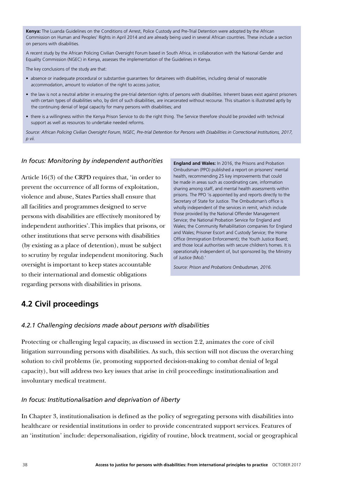**Kenya:** The Luanda Guidelines on the Conditions of Arrest, Police Custody and Pre-Trial Detention were adopted by the African Commission on Human and Peoples' Rights in April 2014 and are already being used in several African countries. These include a section on persons with disabilities.

A recent study by the African Policing Civilian Oversight Forum based in South Africa, in collaboration with the National Gender and Equality Commission (NGEC) in Kenya, assesses the implementation of the Guidelines in Kenya.

The key conclusions of the study are that:

- absence or inadequate procedural or substantive guarantees for detainees with disabilities, including denial of reasonable accommodation, amount to violation of the right to access justice;
- the law is not a neutral arbiter in ensuring the pre-trial detention rights of persons with disabilities. Inherent biases exist against prisoners with certain types of disabilities who, by dint of such disabilities, are incarcerated without recourse. This situation is illustrated aptly by the continuing denial of legal capacity for many persons with disabilities; and
- there is a willingness within the Kenya Prison Service to do the right thing. The Service therefore should be provided with technical support as well as resources to undertake needed reforms.

*Source: African Policing Civilian Oversight Forum, NGEC, Pre-trial Detention for Persons with Disabilities in Correctional Institutions, 2017, p vii.*

#### *In focus: Monitoring by independent authorities*

Article 16(3) of the CRPD requires that, 'in order to prevent the occurrence of all forms of exploitation, violence and abuse, States Parties shall ensure that all facilities and programmes designed to serve persons with disabilities are effectively monitored by independent authorities'.This implies that prisons, or other institutions that serve persons with disabilities (by existing as a place of detention), must be subject to scrutiny by regular independent monitoring. Such oversight is important to keep states accountable to their international and domestic obligations regarding persons with disabilities in prisons.

**England and Wales:** In 2016, the Prisons and Probation Ombudsman (PPO) published a report on prisoners' mental health, recommending 25 key improvements that could be made in areas such as coordinating care, information sharing among staff, and mental health assessments within prisons. The PPO 'is appointed by and reports directly to the Secretary of State for Justice. The Ombudsman's office is wholly independent of the services in remit, which include those provided by the National Offender Management Service; the National Probation Service for England and Wales; the Community Rehabilitation companies for England and Wales; Prisoner Escort and Custody Service; the Home Office (Immigration Enforcement); the Youth Justice Board; and those local authorities with secure children's homes. It is operationally independent of, but sponsored by, the Ministry of Justice (MoJ).'

*Source: Prison and Probations Ombudsman, 2016.* 

### **4.2 Civil proceedings**

#### *4.2.1 Challenging decisions made about persons with disabilities*

Protecting or challenging legal capacity, as discussed in section 2.2, animates the core of civil litigation surrounding persons with disabilities. As such, this section will not discuss the overarching solution to civil problems (ie, promoting supported decision-making to combat denial of legal capacity), but will address two key issues that arise in civil proceedings: institutionalisation and involuntary medical treatment.

#### *In focus: Institutionalisation and deprivation of liberty*

In Chapter 3, institutionalisation is defined as the policy of segregating persons with disabilities into healthcare or residential institutions in order to provide concentrated support services. Features of an 'institution' include: depersonalisation, rigidity of routine, block treatment, social or geographical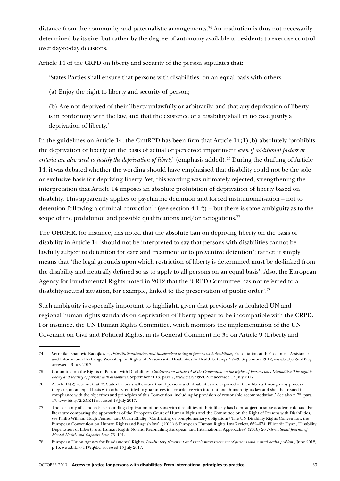distance from the community and paternalistic arrangements.<sup>74</sup> An institution is thus not necessarily determined by its size, but rather by the degree of autonomy available to residents to exercise control over day-to-day decisions.

Article 14 of the CRPD on liberty and security of the person stipulates that:

'States Parties shall ensure that persons with disabilities, on an equal basis with others:

(a) Enjoy the right to liberty and security of person;

(b) Are not deprived of their liberty unlawfully or arbitrarily, and that any deprivation of liberty is in conformity with the law, and that the existence of a disability shall in no case justify a deprivation of liberty.'

In the guidelines on Article 14, the CmtRPD has been firm that Article 14(1)(b) absolutely 'prohibits the deprivation of liberty on the basis of actual or perceived impairment *even if additional factors or criteria are also used to justify the deprivation of liberty*' (emphasis added).75 During the drafting of Article 14, it was debated whether the wording should have emphasised that disability could not be the sole or exclusive basis for depriving liberty. Yet, this wording was ultimately rejected, strengthening the interpretation that Article 14 imposes an absolute prohibition of deprivation of liberty based on disability. This apparently applies to psychiatric detention and forced institutionalisation – not to detention following a criminal conviction<sup>76</sup> (see section 4.1.2) – but there is some ambiguity as to the scope of the prohibition and possible qualifications and/or derogations.<sup>77</sup>

The OHCHR, for instance, has noted that the absolute ban on depriving liberty on the basis of disability in Article 14 'should not be interpreted to say that persons with disabilities cannot be lawfully subject to detention for care and treatment or to preventive detention'; rather, it simply means that 'the legal grounds upon which restriction of liberty is determined must be de-linked from the disability and neutrally defined so as to apply to all persons on an equal basis'. Also, the European Agency for Fundamental Rights noted in 2012 that the 'CRPD Committee has not referred to a disability-neutral situation, for example, linked to the preservation of public order'.78

Such ambiguity is especially important to highlight, given that previously articulated UN and regional human rights standards on deprivation of liberty appear to be incompatible with the CRPD. For instance, the UN Human Rights Committee, which monitors the implementation of the UN Covenant on Civil and Political Rights, in its General Comment no 35 on Article 9 (Liberty and

<sup>74</sup> Veronika Ispanovic Radojkovic, *Deinstitutionalization and independent living of persons with disabilities*, Presentation at the Technical Assistance and Information Exchange Workshop on Rights of Persons with Disabilities In Health Settings, 27–28 September 2012, www.bit.ly/2unD55g accessed 13 July 2017.

<sup>75</sup> Committee on the Rights of Persons with Disabilities, *Guidelines on article 14 of the Convention on the Rights of Persons with Disabilities: The right to liberty and security of persons with disabilities*, September 2015, para 7, www.bit.ly/2rZCZTf accessed 13 July 2017.

<sup>76</sup> Article 14(2) sets out that '2. States Parties shall ensure that if persons with disabilities are deprived of their liberty through any process, they are, on an equal basis with others, entitled to guarantees in accordance with international human rights law and shall be treated in compliance with the objectives and principles of this Convention, including by provision of reasonable accommodation.' See also n 75, para 17, www.bit.ly/2rZCZTf accessed 13 July 2017.

<sup>77</sup> The certainty of standards surrounding deprivation of persons with disabilities of their liberty has been subject to some academic debate. For literature comparing the approaches of the European Court of Human Rights and the Committee on the Right of Persons with Disabilities, see Philip William Hugh Fennell and Urfan Khaliq, 'Conflicting or complementary obligations? The UN Disability Rights Convention, the European Convention on Human Rights and English law', (2011) 6 European Human Rights Law Review, 662–674; Eilionóir Flynn, 'Disability, Deprivation of Liberty and Human Rights Norms: Reconciling European and International Approaches' (2016) 26 *International Journal of Mental Health and Capacity Law*, 75–101.

<sup>78</sup> European Union Agency for Fundamental Rights, *Involuntary placement and involuntary treatment of persons with mental health problems*, June 2012, p 16, www.bit.ly/1TWq65C accessed 13 July 2017.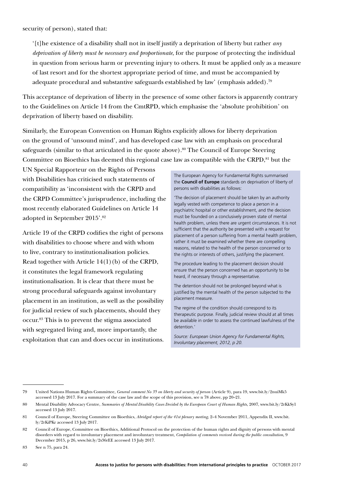'[t]he existence of a disability shall not in itself justify a deprivation of liberty but rather *any deprivation of liberty must be necessary and proportionate*, for the purpose of protecting the individual in question from serious harm or preventing injury to others. It must be applied only as a measure of last resort and for the shortest appropriate period of time, and must be accompanied by adequate procedural and substantive safeguards established by law' (emphasis added).<sup>79</sup>

This acceptance of deprivation of liberty in the presence of some other factors is apparently contrary to the Guidelines on Article 14 from the CmtRPD, which emphasise the 'absolute prohibition' on deprivation of liberty based on disability.

Similarly, the European Convention on Human Rights explicitly allows for liberty deprivation on the ground of 'unsound mind', and has developed case law with an emphasis on procedural safeguards (similar to that articulated in the quote above).<sup>80</sup> The Council of Europe Steering Committee on Bioethics has deemed this regional case law as compatible with the CRPD,<sup>81</sup> but the

UN Special Rapporteur on the Rights of Persons with Disabilities has criticised such statements of compatibility as 'inconsistent with the CRPD and the CRPD Committee's jurisprudence, including the most recently elaborated Guidelines on Article 14 adopted in September 2015'.82

Article 19 of the CRPD codifies the right of persons with disabilities to choose where and with whom to live, contrary to institutionalisation policies. Read together with Article 14(1)(b) of the CRPD, it constitutes the legal framework regulating institutionalisation. It is clear that there must be strong procedural safeguards against involuntary placement in an institution, as well as the possibility for judicial review of such placements, should they occur.83 This is to prevent the stigma associated with segregated living and, more importantly, the exploitation that can and does occur in institutions.

The European Agency for Fundamental Rights summarised the **Council of Europe** standards on deprivation of liberty of persons with disabilities as follows:

'The decision of placement should be taken by an authority legally vested with competence to place a person in a psychiatric hospital or other establishment, and the decision must be founded on a conclusively proven state of mental health problem, unless there are urgent circumstances. It is not sufficient that the authority be presented with a request for placement of a person suffering from a mental health problem, rather it must be examined whether there are compelling reasons, related to the health of the person concerned or to the rights or interests of others, justifying the placement.

The procedure leading to the placement decision should ensure that the person concerned has an opportunity to be heard, if necessary through a representative.

The detention should not be prolonged beyond what is justified by the mental health of the person subjected to the placement measure.

The regime of the condition should correspond to its therapeutic purpose. Finally, judicial review should at all times be available in order to assess the continued lawfulness of the detention.'

*Source: European Union Agency for Fundamental Rights, Involuntary placement, 2012, p 20.*

<sup>79</sup> United Nations Human Rights Committee, *General comment No 35 on liberty and security of person* (Article 9), para 19, www.bit.ly/2nuiMk5 accessed 13 July 2017. For a summary of the case law and the scope of this provision, see n 78 above, pp 20–21.

<sup>80</sup> Mental Disability Advocacy Centre, *Summaries of Mental Disability Cases Decided by the European Court of Human Rights*, 2007, www.bit.ly/2rKkSy1 accessed 13 July 2017.

<sup>81</sup> Council of Europe, Steering Committee on Bioethics, *Abridged report of the 41st plenary meeting*, 2–4 November 2011, Appendix II, www.bit. ly/2rKiPKr accessed 13 July 2017.

<sup>82</sup> Council of Europe, Committee on Bioethics, Additional Protocol on the protection of the human rights and dignity of persons with mental disorders with regard to involuntary placement and involuntary treatment, *Compilation of comments received during the public consultation*, 9 December 2015, p 26, www.bit.ly/2s36rEE accessed 13 July 2017.

<sup>83</sup> See n 75, para 24.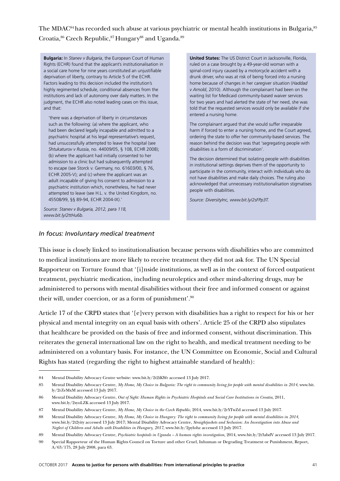The MDAC<sup>84</sup> has recorded such abuse at various psychiatric or mental health institutions in Bulgaria, 85 Croatia, <sup>86</sup> Czech Republic, <sup>87</sup> Hungary<sup>88</sup> and Uganda.<sup>89</sup>

**Bulgaria:** In *Stanev v Bulgaria*, the European Court of Human Rights (ECHR) found that the applicant's institutionalisation in a social care home for nine years constituted an unjustifiable deprivation of liberty, contrary to Article 5 of the ECHR. Factors leading to this decision included the institution's highly regimented schedule, conditional absences from the institutions and lack of autonomy over daily matters. In the judgment, the ECHR also noted leading cases on this issue, and that:

'there was a deprivation of liberty in circumstances such as the following: (a) where the applicant, who had been declared legally incapable and admitted to a psychiatric hospital at his legal representative's request, had unsuccessfully attempted to leave the hospital (see *Shtukaturov v Russia*, no. 44009/05, § 108, ECHR 2008); (b) where the applicant had initially consented to her admission to a clinic but had subsequently attempted to escape (see Storck v. Germany, no. 61603/00, § 76, ECHR 2005-V); and (c) where the applicant was an adult incapable of giving his consent to admission to a psychiatric institution which, nonetheless, he had never attempted to leave (see H.L. v. the United Kingdom, no. 45508/99, §§ 89-94, ECHR 2004-IX).'

*Source: Stanev v Bulgaria, 2012, para 118, www.bit.ly/2ttHu6b.* 

**United States:** The US District Court in Jacksonville, Florida, ruled on a case brought by a 49-year-old woman with a spinal-cord injury caused by a motorcycle accident with a drunk driver, who was at risk of being forced into a nursing home because of changes in her caregiver situation (*Haddad v Arnold*, 2010). Although the complainant had been on the waiting list for Medicaid community-based waiver services for two years and had alerted the state of her need, she was told that the requested services would only be available if she entered a nursing home.

The complainant argued that she would suffer irreparable harm if forced to enter a nursing home, and the Court agreed, ordering the state to offer her community-based services. The reason behind the decision was that 'segregating people with disabilities is a form of discrimination'.

The decision determined that isolating people with disabilities in institutional settings deprives them of the opportunity to participate in the community, interact with individuals who do not have disabilities and make daily choices. The ruling also acknowledged that unnecessary institutionalisation stigmatises people with disabilities.

*Source: DiversityInc, www.bit.ly/2sFPp3T.* 

#### *In focus: Involuntary medical treatment*

This issue is closely linked to institutionalisation because persons with disabilities who are committed to medical institutions are more likely to receive treatment they did not ask for. The UN Special Rapporteur on Torture found that '[i]nside institutions, as well as in the context of forced outpatient treatment, psychiatric medication, including neuroleptics and other mind-altering drugs, may be administered to persons with mental disabilities without their free and informed consent or against their will, under coercion, or as a form of punishment'.90

Article 17 of the CRPD states that '[e]very person with disabilities has a right to respect for his or her physical and mental integrity on an equal basis with others'. Article 25 of the CRPD also stipulates that healthcare be provided on the basis of free and informed consent, without discrimination. This reiterates the general international law on the right to health, and medical treatment needing to be administered on a voluntary basis. For instance, the UN Committee on Economic, Social and Cultural Rights has stated (regarding the right to highest attainable standard of health):

<sup>84</sup> Mental Disability Advocacy Centre website: www.bit.ly/2t2iKWr accessed 13 July 2017.

<sup>85</sup> Mental Disability Advocacy Centre, *My Home, My Choice in Bulgaria: The right to community living for people with mental disabilities in 2014*, www.bit. ly/2rZeMxM accessed 13 July 2017.

<sup>86</sup> Mental Disability Advocacy Centre, *Out of Sight: Human Rights in Psychiatric Hospitals and Social Care Institutions in Croatia,* 2011, www.bit.ly/2syoLZK accessed 13 July 2017.

<sup>87</sup> Mental Disability Advocacy Centre, *My Home, My Choice in the Czech Republic*, 2014, www.bit.ly/2rYTwZd accessed 13 July 2017.

<sup>88</sup> Mental Disability Advocacy Centre, *My Home, My Choice in Hungary: The right to community living for people with mental disabilities in 2014*, www.bit.ly/2t2yity accessed 13 July 2017; Mental Disability Advocacy Centre, *Straightjackets and Seclusion: An Investigation into Abuse and Neglect of Children and Adults with Disabilities in Hungary, 2017*, www.bit.ly/2pylohz accessed 13 July 2017.

<sup>89</sup> Mental Disability Advocacy Centre, *Psychiatric hospitals in Uganda – A human rights investigation,* 2014, www.bit.ly/2t3abdV accessed 13 July 2017.

<sup>90</sup> Special Rapporteur of the Human Rights Council on Torture and other Cruel, Inhuman or Degrading Treatment or Punishment, Report, A/63/175, 28 July 2008, para 63.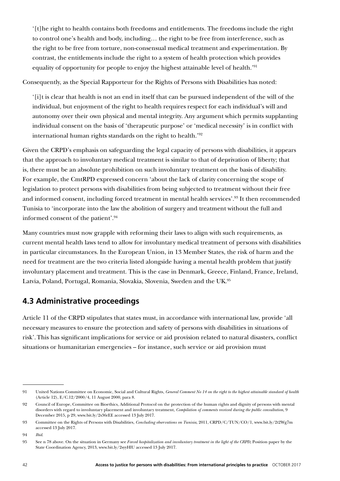'[t]he right to health contains both freedoms and entitlements. The freedoms include the right to control one's health and body, including… the right to be free from interference, such as the right to be free from torture, non-consensual medical treatment and experimentation. By contrast, the entitlements include the right to a system of health protection which provides equality of opportunity for people to enjoy the highest attainable level of health.'91

Consequently, as the Special Rapporteur for the Rights of Persons with Disabilities has noted:

'[i]t is clear that health is not an end in itself that can be pursued independent of the will of the individual, but enjoyment of the right to health requires respect for each individual's will and autonomy over their own physical and mental integrity. Any argument which permits supplanting individual consent on the basis of 'therapeutic purpose' or 'medical necessity' is in conflict with international human rights standards on the right to health.'92

Given the CRPD's emphasis on safeguarding the legal capacity of persons with disabilities, it appears that the approach to involuntary medical treatment is similar to that of deprivation of liberty; that is, there must be an absolute prohibition on such involuntary treatment on the basis of disability. For example, the CmtRPD expressed concern 'about the lack of clarity concerning the scope of legislation to protect persons with disabilities from being subjected to treatment without their free and informed consent, including forced treatment in mental health services'.<sup>93</sup> It then recommended Tunisia to 'incorporate into the law the abolition of surgery and treatment without the full and informed consent of the patient'.94

Many countries must now grapple with reforming their laws to align with such requirements, as current mental health laws tend to allow for involuntary medical treatment of persons with disabilities in particular circumstances. In the European Union, in 13 Member States, the risk of harm and the need for treatment are the two criteria listed alongside having a mental health problem that justify involuntary placement and treatment. This is the case in Denmark, Greece, Finland, France, Ireland, Latvia, Poland, Portugal, Romania, Slovakia, Slovenia, Sweden and the UK.95

## **4.3 Administrative proceedings**

Article 11 of the CRPD stipulates that states must, in accordance with international law, provide 'all necessary measures to ensure the protection and safety of persons with disabilities in situations of risk'.This has significant implications for service or aid provision related to natural disasters, conflict situations or humanitarian emergencies – for instance, such service or aid provision must

<sup>91</sup> United Nations Committee on Economic, Social and Cultural Rights, *General Comment No 14 on the right to the highest attainable standard of health* (Article 12), E/C.12/2000/4, 11 August 2000, para 8.

<sup>92</sup> Council of Europe, Committee on Bioethics, Additional Protocol on the protection of the human rights and dignity of persons with mental disorders with regard to involuntary placement and involuntary treatment, *Compilation of comments received during the public consultation*, 9 December 2015, p 29, www.bit.ly/2s36rEE accessed 13 July 2017.

<sup>93</sup> Committee on the Rights of Persons with Disabilities, *Concluding observations on Tunisia*, 2011, CRPD/C/TUN/CO/1, www.bit.ly/2t2Wg7m accessed 13 July 2017.

<sup>94</sup> *Ibid*.

<sup>95</sup> See n 78 above. On the situation in Germany see *Forced hospitalization and involuntary treatment in the light of the CRPD*, Position paper by the State Coordination Agency, 2013, www.bit.ly/2syyHlU accessed 13 July 2017.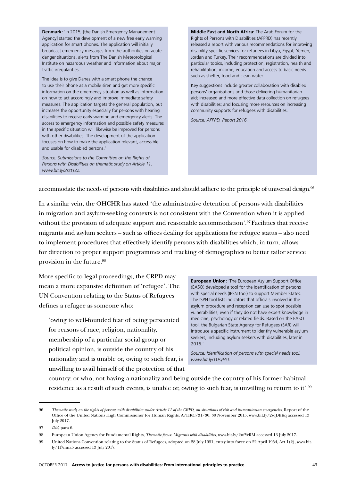**Denmark:** 'In 2015, [the Danish Emergency Management Agency] started the development of a new free early warning application for smart phones. The application will initially broadcast emergency messages from the authorities on acute danger situations, alerts from The Danish Meteorological Institute on hazardous weather and information about major traffic irregularities.

The idea is to give Danes with a smart phone the chance to use their phone as a mobile siren and get more specific information on the emergency situation as well as information on how to act accordingly and improve immediate safety measures. The application targets the general population, but increases the opportunity especially for persons with hearing disabilities to receive early warning and emergency alerts. The access to emergency information and possible safety measures in the specific situation will likewise be improved for persons with other disabilities. The development of the application focuses on how to make the application relevant, accessible and usable for disabled persons.'

*Source: Submissions to the Committee on the Rights of Persons with Disabilities on thematic study on Article 11, www.bit.ly/2szt1ZZ.* 

**Middle East and North Africa:** The Arab Forum for the Rights of Persons with Disabilities (AFPRD) has recently released a report with various recommendations for improving disability specific services for refugees in Libya, Egypt, Yemen, Jordan and Turkey. Their recommendations are divided into particular topics, including protection, registration, health and rehabilitation, income, education and access to basic needs such as shelter, food and clean water.

Key suggestions include greater collaboration with disabled persons' organisations and those delivering humanitarian aid; increased and more effective data collection on refugees with disabilities; and focusing more resources on increasing community supports for refugees with disabilities.

*Source: AFPRD, Report 2016.* 

accommodate the needs of persons with disabilities and should adhere to the principle of universal design.96

In a similar vein, the OHCHR has stated 'the administrative detention of persons with disabilities in migration and asylum-seeking contexts is not consistent with the Convention when it is applied without the provision of adequate support and reasonable accommodation'.<sup>97</sup> Facilities that receive migrants and asylum seekers – such as offices dealing for applications for refugee status – also need to implement procedures that effectively identify persons with disabilities which, in turn, allows for direction to proper support programmes and tracking of demographics to better tailor service provision in the future.98

More specific to legal proceedings, the CRPD may mean a more expansive definition of 'refugee'. The UN Convention relating to the Status of Refugees defines a refugee as someone who:

'owing to well-founded fear of being persecuted for reasons of race, religion, nationality, membership of a particular social group or political opinion, is outside the country of his nationality and is unable or, owing to such fear, is unwilling to avail himself of the protection of that

**European Union:** 'The European Asylum Support Office (EASO) developed a tool for the identification of persons with special needs (IPSN tool) to support Member States. The ISPN tool lists indicators that officials involved in the asylum procedure and reception can use to spot possible vulnerabilities, even if they do not have expert knowledge in medicine, psychology or related fields. Based on the EASO tool, the Bulgarian State Agency for Refugees (SAR) will introduce a specific instrument to identify vulnerable asylum seekers, including asylum seekers with disabilities, later in 2016.'

*Source: Identification of persons with special needs tool, www.bit.ly/1UsyHsJ.* 

country; or who, not having a nationality and being outside the country of his former habitual residence as a result of such events, is unable or, owing to such fear, is unwilling to return to it'.99

<sup>96</sup> *Thematic study on the rights of persons with disabilities under Article 11 of the CRPD, on situations of risk and humanitarian emergencies*, Report of the Office of the United Nations High Commissioner for Human Rights, A/HRC/31/30, 30 November 2015, www.bit.ly/2sqDEKq accessed 13 July 2017.

<sup>97</sup> *Ibid*, para 6.

<sup>98</sup> European Union Agency for Fundamental Rights, *Thematic focus: Migrants with disabilities*, www.bit.ly/2nfYvRM accessed 13 July 2017.

<sup>99</sup> United Nations Convention relating to the Status of Refugees, adopted on 28 July 1951, entry into force on 22 April 1954, Art 1(2), www.bit. ly/1I7mna5 accessed 13 July 2017.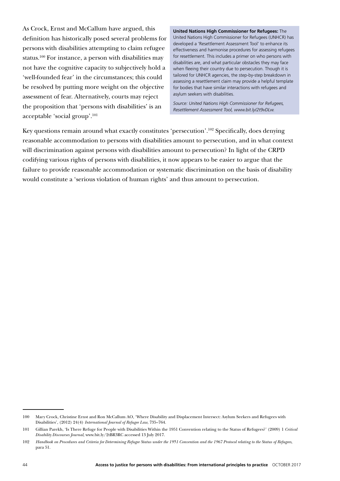As Crock, Ernst and McCallum have argued, this definition has historically posed several problems for persons with disabilities attempting to claim refugee status.100 For instance, a person with disabilities may not have the cognitive capacity to subjectively hold a 'well-founded fear' in the circumstances; this could be resolved by putting more weight on the objective assessment of fear. Alternatively, courts may reject the proposition that 'persons with disabilities' is an acceptable 'social group'.101

**United Nations High Commissioner for Refugees:** The United Nations High Commissioner for Refugees (UNHCR) has developed a 'Resettlement Assessment Tool' to enhance its effectiveness and harmonise procedures for assessing refugees for resettlement. This includes a primer on who persons with disabilities are, and what particular obstacles they may face when fleeing their country due to persecution. Though it is tailored for UNHCR agencies, the step-by-step breakdown in assessing a resettlement claim may provide a helpful template for bodies that have similar interactions with refugees and asylum seekers with disabilities.

*Source: United Nations High Commissioner for Refugees, Resettlement Assessment Tool, www.bit.ly/2t9vDLw.* 

Key questions remain around what exactly constitutes 'persecution'.<sup>102</sup> Specifically, does denying reasonable accommodation to persons with disabilities amount to persecution, and in what context will discrimination against persons with disabilities amount to persecution? In light of the CRPD codifying various rights of persons with disabilities, it now appears to be easier to argue that the failure to provide reasonable accommodation or systematic discrimination on the basis of disability would constitute a 'serious violation of human rights' and thus amount to persecution.

<sup>100</sup> Mary Crock, Christine Ernst and Ron McCallum AO, 'Where Disability and Displacement Intersect: Asylum Seekers and Refugees with Disabilities', (2012) 24(4) *International Journal of Refugee Law*, 735–764.

<sup>101</sup> Gillian Parekh, 'Is There Refuge for People with Disabilities Within the 1951 Convention relating to the Status of Refugees?' (2009) 1 *Critical Disability Discourses Journal*, www.bit.ly/2tBR3RC accessed 13 July 2017.

<sup>102</sup> *Handbook on Procedures and Criteria for Determining Refugee Status under the 1951 Convention and the 1967 Protocol relating to the Status of Refugees*, para 51.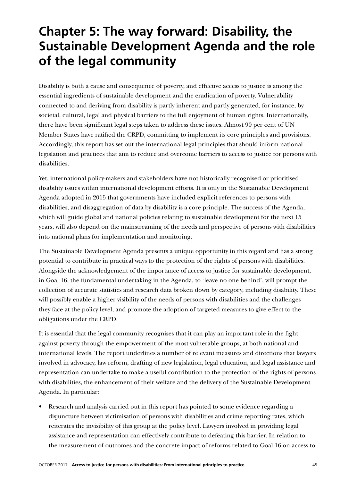## **Chapter 5: The way forward: Disability, the Sustainable Development Agenda and the role of the legal community**

Disability is both a cause and consequence of poverty, and effective access to justice is among the essential ingredients of sustainable development and the eradication of poverty. Vulnerability connected to and deriving from disability is partly inherent and partly generated, for instance, by societal, cultural, legal and physical barriers to the full enjoyment of human rights. Internationally, there have been significant legal steps taken to address these issues. Almost 90 per cent of UN Member States have ratified the CRPD, committing to implement its core principles and provisions. Accordingly, this report has set out the international legal principles that should inform national legislation and practices that aim to reduce and overcome barriers to access to justice for persons with disabilities.

Yet, international policy-makers and stakeholders have not historically recognised or prioritised disability issues within international development efforts. It is only in the Sustainable Development Agenda adopted in 2015 that governments have included explicit references to persons with disabilities, and disaggregation of data by disability is a core principle. The success of the Agenda, which will guide global and national policies relating to sustainable development for the next 15 years, will also depend on the mainstreaming of the needs and perspective of persons with disabilities into national plans for implementation and monitoring.

The Sustainable Development Agenda presents a unique opportunity in this regard and has a strong potential to contribute in practical ways to the protection of the rights of persons with disabilities. Alongside the acknowledgement of the importance of access to justice for sustainable development, in Goal 16, the fundamental undertaking in the Agenda, to 'leave no one behind', will prompt the collection of accurate statistics and research data broken down by category, including disability. These will possibly enable a higher visibility of the needs of persons with disabilities and the challenges they face at the policy level, and promote the adoption of targeted measures to give effect to the obligations under the CRPD.

It is essential that the legal community recognises that it can play an important role in the fight against poverty through the empowerment of the most vulnerable groups, at both national and international levels. The report underlines a number of relevant measures and directions that lawyers involved in advocacy, law reform, drafting of new legislation, legal education, and legal assistance and representation can undertake to make a useful contribution to the protection of the rights of persons with disabilities, the enhancement of their welfare and the delivery of the Sustainable Development Agenda. In particular:

• Research and analysis carried out in this report has pointed to some evidence regarding a disjuncture between victimisation of persons with disabilities and crime reporting rates, which reiterates the invisibility of this group at the policy level. Lawyers involved in providing legal assistance and representation can effectively contribute to defeating this barrier. In relation to the measurement of outcomes and the concrete impact of reforms related to Goal 16 on access to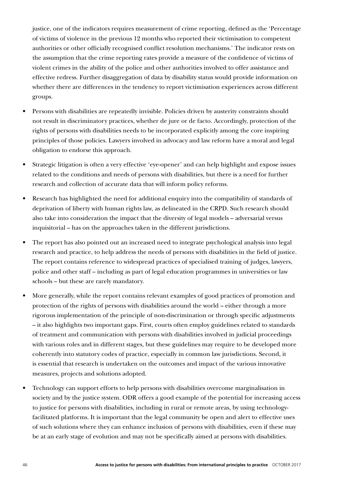justice, one of the indicators requires measurement of crime reporting, defined as the 'Percentage of victims of violence in the previous 12 months who reported their victimisation to competent authorities or other officially recognised conflict resolution mechanisms.' The indicator rests on the assumption that the crime reporting rates provide a measure of the confidence of victims of violent crimes in the ability of the police and other authorities involved to offer assistance and effective redress. Further disaggregation of data by disability status would provide information on whether there are differences in the tendency to report victimisation experiences across different groups.

- Persons with disabilities are repeatedly invisible. Policies driven by austerity constraints should not result in discriminatory practices, whether de jure or de facto. Accordingly, protection of the rights of persons with disabilities needs to be incorporated explicitly among the core inspiring principles of those policies. Lawyers involved in advocacy and law reform have a moral and legal obligation to endorse this approach.
- Strategic litigation is often a very effective 'eye-opener' and can help highlight and expose issues related to the conditions and needs of persons with disabilities, but there is a need for further research and collection of accurate data that will inform policy reforms.
- Research has highlighted the need for additional enquiry into the compatibility of standards of deprivation of liberty with human rights law, as delineated in the CRPD. Such research should also take into consideration the impact that the diversity of legal models – adversarial versus inquisitorial – has on the approaches taken in the different jurisdictions.
- The report has also pointed out an increased need to integrate psychological analysis into legal research and practice, to help address the needs of persons with disabilities in the field of justice. The report contains reference to widespread practices of specialised training of judges, lawyers, police and other staff – including as part of legal education programmes in universities or law schools – but these are rarely mandatory.
- More generally, while the report contains relevant examples of good practices of promotion and protection of the rights of persons with disabilities around the world – either through a more rigorous implementation of the principle of non-discrimination or through specific adjustments – it also highlights two important gaps. First, courts often employ guidelines related to standards of treatment and communication with persons with disabilities involved in judicial proceedings with various roles and in different stages, but these guidelines may require to be developed more coherently into statutory codes of practice, especially in common law jurisdictions. Second, it is essential that research is undertaken on the outcomes and impact of the various innovative measures, projects and solutions adopted.
- Technology can support efforts to help persons with disabilities overcome marginalisation in society and by the justice system. ODR offers a good example of the potential for increasing access to justice for persons with disabilities, including in rural or remote areas, by using technologyfacilitated platforms. It is important that the legal community be open and alert to effective uses of such solutions where they can enhance inclusion of persons with disabilities, even if these may be at an early stage of evolution and may not be specifically aimed at persons with disabilities.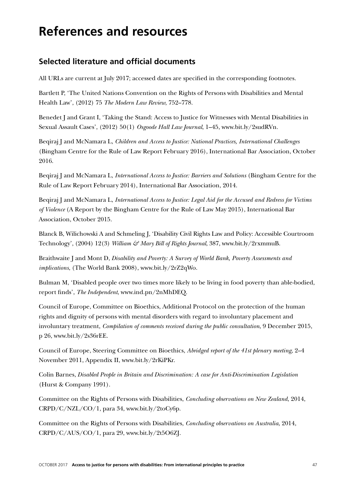## **References and resources**

## **Selected literature and official documents**

All URLs are current at July 2017; accessed dates are specified in the corresponding footnotes.

Bartlett P, 'The United Nations Convention on the Rights of Persons with Disabilities and Mental Health Law', (2012) 75 *The Modern Law Review*, 752–778.

Benedet J and Grant I, 'Taking the Stand: Access to Justice for Witnesses with Mental Disabilities in Sexual Assault Cases', (2012) 50(1) *Osgoode Hall Law Journal*, 1–45, www.bit.ly/2sudRVn.

Beqiraj J and McNamara L, *Children and Access to Justice: National Practices, International Challenges* (Bingham Centre for the Rule of Law Report February 2016), International Bar Association, October 2016.

Beqiraj J and McNamara L, *International Access to Justice: Barriers and Solutions* (Bingham Centre for the Rule of Law Report February 2014), International Bar Association, 2014.

Beqiraj J and McNamara L, *International Access to Justice: Legal Aid for the Accused and Redress for Victims of Violence* (A Report by the Bingham Centre for the Rule of Law May 2015), International Bar Association, October 2015.

Blanck B, Wilichowski A and Schmeling J, 'Disability Civil Rights Law and Policy: Accessible Courtroom Technology', (2004) 12(3) *William & Mary Bill of Rights Journal*, 387, www.bit.ly/2rxmmuB.

Braithwaite J and Mont D, *Disability and Poverty: A Survey of World Bank, Poverty Assessments and implications*, (The World Bank 2008), www.bit.ly/2rZ2qWo.

Bulman M, 'Disabled people over two times more likely to be living in food poverty than able-bodied, report finds', *The Independent*, www.ind.pn/2nMhDEQ.

Council of Europe, Committee on Bioethics, Additional Protocol on the protection of the human rights and dignity of persons with mental disorders with regard to involuntary placement and involuntary treatment, *Compilation of comments received during the public consultation*, 9 December 2015, p 26, www.bit.ly/2s36rEE.

Council of Europe, Steering Committee on Bioethics, *Abridged report of the 41st plenary meeting*, 2–4 November 2011, Appendix II, www.bit.ly/2rKiPKr.

Colin Barnes, *Disabled People in Britain and Discrimination: A case for Anti-Discrimination Legislation* (Hurst & Company 1991).

Committee on the Rights of Persons with Disabilities, *Concluding observations on New Zealand*, 2014, CRPD/C/NZL/CO/1, para 34, www.bit.ly/2toCy6p.

Committee on the Rights of Persons with Disabilities, *Concluding observations on Australia*, 2014, CRPD/C/AUS/CO/1, para 29, www.bit.ly/2t5O6ZJ.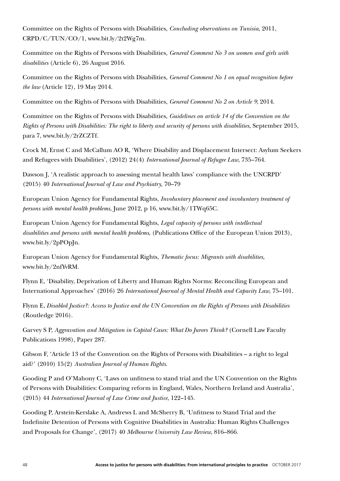Committee on the Rights of Persons with Disabilities, *Concluding observations on Tunisia*, 2011, CRPD/C/TUN/CO/1, www.bit.ly/2t2Wg7m.

Committee on the Rights of Persons with Disabilities, *General Comment No 3 on women and girls with disabilities* (Article 6), 26 August 2016.

Committee on the Rights of Persons with Disabilities, *General Comment No 1 on equal recognition before the law* (Article 12), 19 May 2014.

Committee on the Rights of Persons with Disabilities, *General Comment No 2 on Article 9*, 2014.

Committee on the Rights of Persons with Disabilities, *Guidelines on article 14 of the Convention on the Rights of Persons with Disabilities: The right to liberty and security of persons with disabilities*, September 2015, para 7, www.bit.ly/2rZCZTf.

Crock M, Ernst C and McCallum AO R, 'Where Disability and Displacement Intersect: Asylum Seekers and Refugees with Disabilities', (2012) 24(4) *International Journal of Refugee Law*, 735–764.

Dawson J, 'A realistic approach to assessing mental health laws' compliance with the UNCRPD' (2015) 40 *International Journal of Law and Psychiatry*, 70–79

European Union Agency for Fundamental Rights, *Involuntary placement and involuntary treatment of persons with mental health problems*, June 2012, p 16, www.bit.ly/1TWq65C.

European Union Agency for Fundamental Rights, *Legal capacity of persons with intellectual disabilities and persons with mental health problems*, (Publications Office of the European Union 2013), www.bit.ly/2pPOpJn.

European Union Agency for Fundamental Rights, *Thematic focus: Migrants with disabilities*, www.bit.ly/2nfYvRM.

Flynn E, 'Disability, Deprivation of Liberty and Human Rights Norms: Reconciling European and International Approaches' (2016) 26 *International Journal of Mental Health and Capacity Law*, 75–101.

Flynn E, *Disabled Justice?: Access to Justice and the UN Convention on the Rights of Persons with Disabilities* (Routledge 2016).

Garvey S P, *Aggravation and Mitigation in Capital Cases: What Do Jurors Think?* (Cornell Law Faculty Publications 1998), Paper 287.

Gibson F, 'Article 13 of the Convention on the Rights of Persons with Disabilities – a right to legal aid?' (2010) 15(2) *Australian Journal of Human Rights*.

Gooding P and O'Mahony C, 'Laws on unfitness to stand trial and the UN Convention on the Rights of Persons with Disabilities: Comparing reform in England, Wales, Northern Ireland and Australia', (2015) 44 *International Journal of Law Crime and Justice*, 122–145.

Gooding P, Arstein-Kerslake A, Andrews L and McSherry B, 'Unfitness to Stand Trial and the Indefinite Detention of Persons with Cognitive Disabilities in Australia: Human Rights Challenges and Proposals for Change', (2017) 40 *Melbourne University Law Review*, 816–866.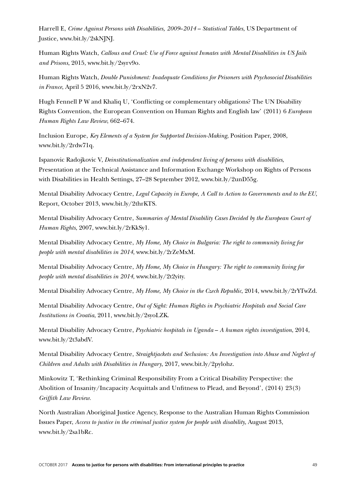Harrell E, *Crime Against Persons with Disabilities, 2009*–*2014* – *Statistical Tables*, US Department of Justice, www.bit.ly/2skNJNJ.

Human Rights Watch, *Callous and Cruel: Use of Force against Inmates with Mental Disabilities in US Jails and Prisons*, 2015, www.bit.ly/2syrv9o.

Human Rights Watch, *Double Punishment: Inadequate Conditions for Prisoners with Psychosocial Disabilities in France*, April 5 2016, www.bit.ly/2rxN2v7.

Hugh Fennell P W and Khaliq U, 'Conflicting or complementary obligations? The UN Disability Rights Convention, the European Convention on Human Rights and English law' (2011) 6 *European Human Rights Law Review*, 662–674.

Inclusion Europe, *Key Elements of a System for Supported Decision-Making*, Position Paper, 2008, www.bit.ly/2rdw71q.

Ispanovic Radojkovic V, *Deinstitutionalization and independent living of persons with disabilities*, Presentation at the Technical Assistance and Information Exchange Workshop on Rights of Persons with Disabilities in Health Settings, 27–28 September 2012, www.bit.ly/2unD55g.

Mental Disability Advocacy Centre, *Legal Capacity in Europe, A Call to Action to Governments and to the EU*, Report, October 2013, www.bit.ly/2thrKTS.

Mental Disability Advocacy Centre, *Summaries of Mental Disability Cases Decided by the European Court of Human Rights*, 2007, www.bit.ly/2rKkSy1.

Mental Disability Advocacy Centre, *My Home, My Choice in Bulgaria: The right to community living for people with mental disabilities in 2014*, www.bit.ly/2rZeMxM.

Mental Disability Advocacy Centre, *My Home, My Choice in Hungary: The right to community living for people with mental disabilities in 2014*, www.bit.ly/2t2yity.

Mental Disability Advocacy Centre, *My Home, My Choice in the Czech Republic*, 2014, www.bit.ly/2rYTwZd.

Mental Disability Advocacy Centre, *Out of Sight: Human Rights in Psychiatric Hospitals and Social Care Institutions in Croatia*, 2011, www.bit.ly/2syoLZK.

Mental Disability Advocacy Centre, *Psychiatric hospitals in Uganda* – *A human rights investigation*, 2014, www.bit.ly/2t3abdV.

Mental Disability Advocacy Centre, *Straightjackets and Seclusion: An Investigation into Abuse and Neglect of Children and Adults with Disabilities in Hungary*, 2017, www.bit.ly/2pylohz.

Minkowitz T, 'Rethinking Criminal Responsibility From a Critical Disability Perspective: the Abolition of Insanity/Incapacity Acquittals and Unfitness to Plead, and Beyond', (2014) 23(3) *Griffith Law Review*.

North Australian Aboriginal Justice Agency, Response to the Australian Human Rights Commission Issues Paper, *Access to justice in the criminal justice system for people with disability*, August 2013, www.bit.ly/2sa1bRc.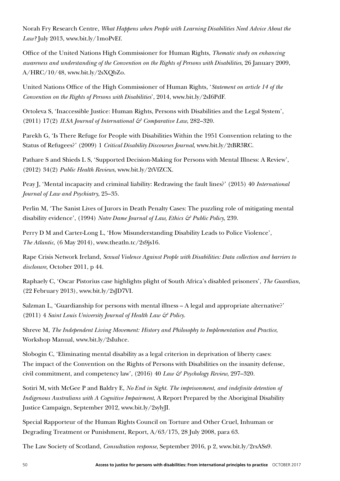Norah Fry Research Centre, *What Happens when People with Learning Disabilities Need Advice About the Law?* July 2013, www.bit.ly/1moPvEf.

Office of the United Nations High Commissioner for Human Rights, *Thematic study on enhancing awareness and understanding of the Convention on the Rights of Persons with Disabilities*, 26 January 2009, A/HRC/10/48, www.bit.ly/2sXQbZo.

United Nations Office of the High Commissioner of Human Rights, '*Statement on article 14 of the Convention on the Rights of Persons with Disabilities*', 2014, www.bit.ly/2sI6PdF.

Ortoleva S, 'Inaccessible Justice: Human Rights, Persons with Disabilities and the Legal System', (2011) 17(2) *ILSA Journal of International & Comparative Law*, 282–320.

Parekh G, 'Is There Refuge for People with Disabilities Within the 1951 Convention relating to the Status of Refugees?' (2009) 1 *Critical Disability Discourses Journal*, www.bit.ly/2tBR3RC.

Pathare S and Shieds L S, 'Supported Decision-Making for Persons with Mental Illness: A Review', (2012) 34(2) *Public Health Reviews*, www.bit.ly/2tVfZCX.

Peay J, 'Mental incapacity and criminal liability: Redrawing the fault lines?' (2015) 40 *International Journal of Law and Psychiatry*, 25–35.

Perlin M, 'The Sanist Lives of Jurors in Death Penalty Cases: The puzzling role of mitigating mental disability evidence', (1994) *Notre Dame Journal of Law, Ethics & Public Policy*, 239.

Perry D M and Carter-Long L, 'How Misunderstanding Disability Leads to Police Violence', *The Atlantic*, (6 May 2014), www.theatln.tc/2s9js16.

Rape Crisis Network Ireland, *Sexual Violence Against People with Disabilities: Data collection and barriers to disclosure*, October 2011, p 44.

Raphaely C, 'Oscar Pistorius case highlights plight of South Africa's disabled prisoners', *The Guardian*, (22 February 2013), www.bit.ly/2sJD7VI.

Salzman L, 'Guardianship for persons with mental illness – A legal and appropriate alternative?' (2011) 4 *Saint Louis University Journal of Health Law & Policy*.

Shreve M, *The Independent Living Movement: History and Philosophy to Implementation and Practice*, Workshop Manual, www.bit.ly/2sIuhce.

Slobogin C, 'Eliminating mental disability as a legal criterion in deprivation of liberty cases: The impact of the Convention on the Rights of Persons with Disabilities on the insanity defense, civil commitment, and competency law', (2016) 40 *Law & Psychology Review*, 297–320.

Sotiri M, with McGee P and Baldry E, *No End in Sight. The imprisonment, and indefinite detention of Indigenous Australians with A Cognitive Impairment*, A Report Prepared by the Aboriginal Disability Justice Campaign, September 2012, www.bit.ly/2sylyJI.

Special Rapporteur of the Human Rights Council on Torture and Other Cruel, Inhuman or Degrading Treatment or Punishment, Report, A/63/175, 28 July 2008, para 63.

The Law Society of Scotland, *Consultation response*, September 2016, p 2, www.bit.ly/2rsASs9.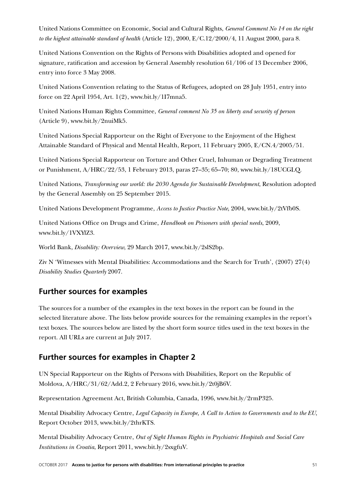United Nations Committee on Economic, Social and Cultural Rights, *General Comment No 14 on the right to the highest attainable standard of health* (Article 12), 2000, E/C.12/2000/4, 11 August 2000, para 8.

United Nations Convention on the Rights of Persons with Disabilities adopted and opened for signature, ratification and accession by General Assembly resolution 61/106 of 13 December 2006, entry into force 3 May 2008.

United Nations Convention relating to the Status of Refugees, adopted on 28 July 1951, entry into force on 22 April 1954, Art. 1(2), www.bit.ly/1I7mna5.

United Nations Human Rights Committee, *General comment No 35 on liberty and security of person* (Article 9), www.bit.ly/2nuiMk5.

United Nations Special Rapporteur on the Right of Everyone to the Enjoyment of the Highest Attainable Standard of Physical and Mental Health, Report, 11 February 2005, E/CN.4/2005/51.

United Nations Special Rapporteur on Torture and Other Cruel, Inhuman or Degrading Treatment or Punishment, A/HRC/22/53, 1 February 2013, paras 27–35; 65–70; 80, www.bit.ly/18UCGLQ.

United Nations, *Transforming our world: the 2030 Agenda for Sustainable Development*, Resolution adopted by the General Assembly on 25 September 2015.

United Nations Development Programme, *Access to Justice Practice Note*, 2004, www.bit.ly/2tVfb0S.

United Nations Office on Drugs and Crime, *Handbook on Prisoners with special needs*, 2009, www.bit.ly/1VXYlZ3.

World Bank, *Disability: Overview*, 29 March 2017, www.bit.ly/2slS2bp.

Ziv N 'Witnesses with Mental Disabilities: Accommodations and the Search for Truth', (2007) 27(4) *Disability Studies Quarterly* 2007.

### **Further sources for examples**

The sources for a number of the examples in the text boxes in the report can be found in the selected literature above. The lists below provide sources for the remaining examples in the report's text boxes. The sources below are listed by the short form source titles used in the text boxes in the report. All URLs are current at July 2017.

## **Further sources for examples in Chapter 2**

UN Special Rapporteur on the Rights of Persons with Disabilities, Report on the Republic of Moldova, A/HRC/31/62/Add.2, 2 February 2016, www.bit.ly/2t0jB6V.

Representation Agreement Act, British Columbia, Canada, 1996, www.bit.ly/2rmP325.

Mental Disability Advocacy Centre, *Legal Capacity in Europe, A Call to Action to Governments and to the EU*, Report October 2013, www.bit.ly/2thrKTS.

Mental Disability Advocacy Centre, *Out of Sight Human Rights in Psychiatric Hospitals and Social Care Institutions in Croatia*, Report 2011, www.bit.ly/2sxgfuV.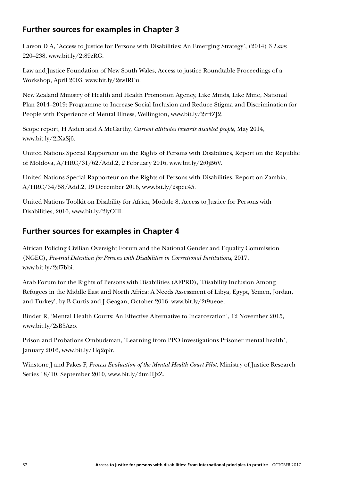## **Further sources for examples in Chapter 3**

Larson D A, 'Access to Justice for Persons with Disabilities: An Emerging Strategy', (2014) 3 *Laws* 220–238, www.bit.ly/2t89zRG.

Law and Justice Foundation of New South Wales, Access to justice Roundtable Proceedings of a Workshop, April 2003, www.bit.ly/2swIREu.

New Zealand Ministry of Health and Health Promotion Agency, Like Minds, Like Mine, National Plan 2014–2019: Programme to Increase Social Inclusion and Reduce Stigma and Discrimination for People with Experience of Mental Illness, Wellington, www.bit.ly/2rrfZJ2.

Scope report, H Aiden and A McCarthy, *Current attitudes towards disabled people*, May 2014, www.bit.ly/2iXaSj6.

United Nations Special Rapporteur on the Rights of Persons with Disabilities, Report on the Republic of Moldova, A/HRC/31/62/Add.2, 2 February 2016, www.bit.ly/2t0jB6V.

United Nations Special Rapporteur on the Rights of Persons with Disabilities, Report on Zambia, A/HRC/34/58/Add.2, 19 December 2016, www.bit.ly/2spee45.

United Nations Toolkit on Disability for Africa, Module 8, Access to Justice for Persons with Disabilities, 2016, www.bit.ly/2lyOIlI.

## **Further sources for examples in Chapter 4**

African Policing Civilian Oversight Forum and the National Gender and Equality Commission (NGEC), *Pre-trial Detention for Persons with Disabilities in Correctional Institutions*, 2017, www.bit.ly/2sf7bbi.

Arab Forum for the Rights of Persons with Disabilities (AFPRD), 'Disability Inclusion Among Refugees in the Middle East and North Africa: A Needs Assessment of Libya, Egypt, Yemen, Jordan, and Turkey', by B Curtis and J Geagan, October 2016, www.bit.ly/2t9ueoe.

Binder R, 'Mental Health Courts: An Effective Alternative to Incarceration', 12 November 2015, www.bit.ly/2sB5Azo.

Prison and Probations Ombudsman, 'Learning from PPO investigations Prisoner mental health', January 2016, www.bit.ly/1lq2q9r.

Winstone J and Pakes F, *Process Evaluation of the Mental Health Court Pilot*, Ministry of Justice Research Series 18/10, September 2010, www.bit.ly/2tmHJzZ.